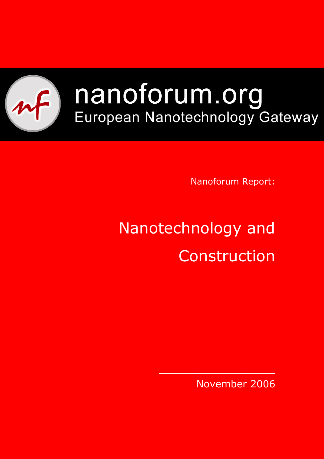

# nanoforum.org European Nanotechnology Gateway

Nanoforum Report:

# Nanotechnology and Construction

November 2006

 $\mathcal{L}_\text{max}$  and  $\mathcal{L}_\text{max}$  are the set of  $\mathcal{L}_\text{max}$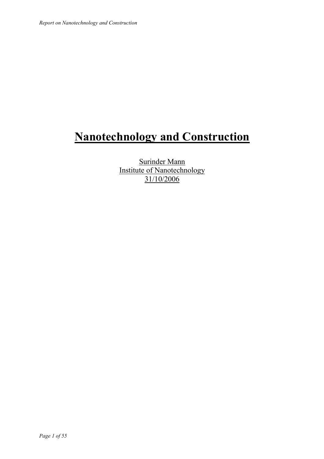# **Nanotechnology and Construction**

Surinder Mann Institute of Nanotechnology 31/10/2006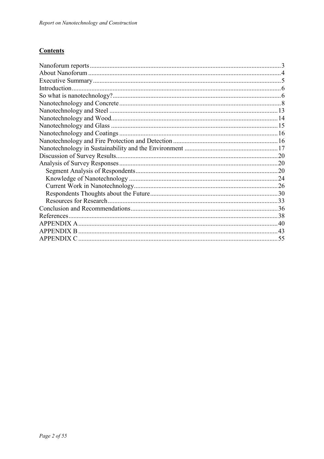#### **Contents**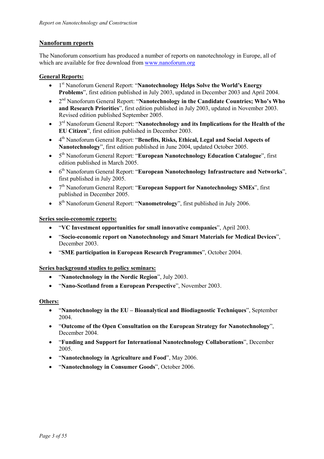#### **Nanoforum reports**

The Nanoforum consortium has produced a number of reports on nanotechnology in Europe, all of which are available for free download from www.nanoforum.org

#### **General Reports:**

- 1st Nanoforum General Report: "**Nanotechnology Helps Solve the World's Energy Problems**", first edition published in July 2003, updated in December 2003 and April 2004.
- 2nd Nanoforum General Report: "**Nanotechnology in the Candidate Countries; Who's Who and Research Priorities**", first edition published in July 2003, updated in November 2003. Revised edition published September 2005.
- 3rd Nanoforum General Report: "**Nanotechnology and its Implications for the Health of the EU Citizen**", first edition published in December 2003.
- 4<sup>th</sup> Nanoforum General Report: "Benefits, Risks, Ethical, Legal and Social Aspects of **Nanotechnology**", first edition published in June 2004, updated October 2005.
- 5th Nanoforum General Report: "**European Nanotechnology Education Catalogue**", first edition published in March 2005.
- 6th Nanoforum General Report: "**European Nanotechnology Infrastructure and Networks**", first published in July 2005.
- 7<sup>th</sup> Nanoforum General Report: "**European Support for Nanotechnology SMEs**", first published in December 2005.
- 8<sup>th</sup> Nanoforum General Report: "**Nanometrology**", first published in July 2006.

#### **Series socio-economic reports:**

- "**VC Investment opportunities for small innovative companies**", April 2003.
- "**Socio-economic report on Nanotechnology and Smart Materials for Medical Devices**", December 2003.
- "**SME participation in European Research Programmes**", October 2004.

**Series background studies to policy seminars:**

- "**Nanotechnology in the Nordic Region**", July 2003.
- "**Nano-Scotland from a European Perspective**", November 2003.

#### **Others:**

- "**Nanotechnology in the EU Bioanalytical and Biodiagnostic Techniques**", September 2004.
- "**Outcome of the Open Consultation on the European Strategy for Nanotechnology**", December 2004.
- "**Funding and Support for International Nanotechnology Collaborations**", December 2005.
- "**Nanotechnology in Agriculture and Food**", May 2006.
- "**Nanotechnology in Consumer Goods**", October 2006.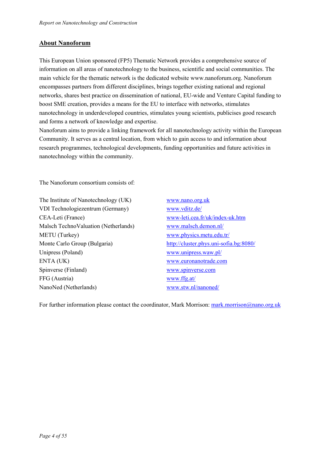#### **About Nanoforum**

This European Union sponsored (FP5) Thematic Network provides a comprehensive source of information on all areas of nanotechnology to the business, scientific and social communities. The main vehicle for the thematic network is the dedicated website www.nanoforum.org. Nanoforum encompasses partners from different disciplines, brings together existing national and regional networks, shares best practice on dissemination of national, EU-wide and Venture Capital funding to boost SME creation, provides a means for the EU to interface with networks, stimulates nanotechnology in underdeveloped countries, stimulates young scientists, publicises good research and forms a network of knowledge and expertise.

Nanoforum aims to provide a linking framework for all nanotechnology activity within the European Community. It serves as a central location, from which to gain access to and information about research programmes, technological developments, funding opportunities and future activities in nanotechnology within the community.

The Nanoforum consortium consists of:

The Institute of Nanotechnology (UK) www.nano.org.uk VDI Technologiezentrum (Germany) www.vditz.de/ CEA-Leti (France) www-leti.cea.fr/uk/index-uk.htm Malsch TechnoValuation (Netherlands) www.malsch.demon.nl/ METU (Turkey) www.physics.metu.edu.tr/ Monte Carlo Group (Bulgaria) http://cluster.phys.uni-sofia.bg:8080/ Unipress (Poland) www.unipress.waw.pl/ ENTA (UK) www.euronanotrade.com Spinverse (Finland) www.spinverse.com FFG (Austria) www.ffg.at/ NanoNed (Netherlands) www.stw.nl/nanoned/

For further information please contact the coordinator, Mark Morrison: mark.morrison@nano.org.uk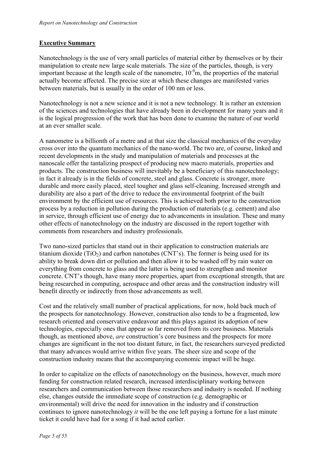#### **Executive Summary**

Nanotechnology is the use of very small particles of material either by themselves or by their manipulation to create new large scale materials. The size of the particles, though, is very important because at the length scale of the nanometre,  $10^{-9}$ m, the properties of the material actually become affected. The precise size at which these changes are manifested varies between materials, but is usually in the order of 100 nm or less.

Nanotechnology is not a new science and it is not a new technology. It is rather an extension of the sciences and technologies that have already been in development for many years and it is the logical progression of the work that has been done to examine the nature of our world at an ever smaller scale.

A nanometre is a billionth of a metre and at that size the classical mechanics of the everyday cross over into the quantum mechanics of the nano-world. The two are, of course, linked and recent developments in the study and manipulation of materials and processes at the nanoscale offer the tantalizing prospect of producing new macro materials, properties and products. The construction business will inevitably be a beneficiary of this nanotechnology; in fact it already is in the fields of concrete, steel and glass. Concrete is stronger, more durable and more easily placed, steel tougher and glass self-cleaning. Increased strength and durability are also a part of the drive to reduce the environmental footprint of the built environment by the efficient use of resources. This is achieved both prior to the construction process by a reduction in pollution during the production of materials (e.g. cement) and also in service, through efficient use of energy due to advancements in insulation. These and many other effects of nanotechnology on the industry are discussed in the report together with comments from researchers and industry professionals.

Two nano-sized particles that stand out in their application to construction materials are titanium dioxide  $(TiO<sub>2</sub>)$  and carbon nanotubes (CNT's). The former is being used for its ability to break down dirt or pollution and then allow it to be washed off by rain water on everything from concrete to glass and the latter is being used to strengthen and monitor concrete. CNT's though, have many more properties, apart from exceptional strength, that are being researched in computing, aerospace and other areas and the construction industry will benefit directly or indirectly from those advancements as well.

Cost and the relatively small number of practical applications, for now, hold back much of the prospects for nanotechnology. However, construction also tends to be a fragmented, low research oriented and conservative endeavour and this plays against its adoption of new technologies, especially ones that appear so far removed from its core business. Materials though, as mentioned above, *are* construction's core business and the prospects for more changes are significant in the not too distant future, in fact, the researchers surveyed predicted that many advances would arrive within five years. The sheer size and scope of the construction industry means that the accompanying economic impact will be huge.

In order to capitalize on the effects of nanotechnology on the business, however, much more funding for construction related research, increased interdisciplinary working between researchers and communication between those researchers and industry is needed. If nothing else, changes outside the immediate scope of construction (e.g. demographic or environmental) will drive the need for innovation in the industry and if construction continues to ignore nanotechnology *it* will be the one left paying a fortune for a last minute ticket it could have had for a song if it had acted earlier.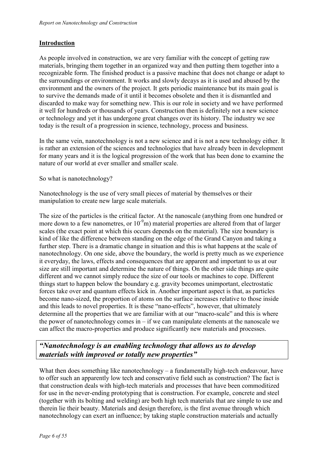#### **Introduction**

As people involved in construction, we are very familiar with the concept of getting raw materials, bringing them together in an organized way and then putting them together into a recognizable form. The finished product is a passive machine that does not change or adapt to the surroundings or environment. It works and slowly decays as it is used and abused by the environment and the owners of the project. It gets periodic maintenance but its main goal is to survive the demands made of it until it becomes obsolete and then it is dismantled and discarded to make way for something new. This is our role in society and we have performed it well for hundreds or thousands of years. Construction then is definitely not a new science or technology and yet it has undergone great changes over its history. The industry we see today is the result of a progression in science, technology, process and business.

In the same vein, nanotechnology is not a new science and it is not a new technology either. It is rather an extension of the sciences and technologies that have already been in development for many years and it is the logical progression of the work that has been done to examine the nature of our world at ever smaller and smaller scale.

So what is nanotechnology?

Nanotechnology is the use of very small pieces of material by themselves or their manipulation to create new large scale materials.

The size of the particles is the critical factor. At the nanoscale (anything from one hundred or more down to a few nanometres, or  $10^{-9}$ m) material properties are altered from that of larger scales (the exact point at which this occurs depends on the material). The size boundary is kind of like the difference between standing on the edge of the Grand Canyon and taking a further step. There is a dramatic change in situation and this is what happens at the scale of nanotechnology. On one side, above the boundary, the world is pretty much as we experience it everyday, the laws, effects and consequences that are apparent and important to us at our size are still important and determine the nature of things. On the other side things are quite different and we cannot simply reduce the size of our tools or machines to cope. Different things start to happen below the boundary e.g. gravity becomes unimportant, electrostatic forces take over and quantum effects kick in. Another important aspect is that, as particles become nano-sized, the proportion of atoms on the surface increases relative to those inside and this leads to novel properties. It is these "nano-effects", however, that ultimately determine all the properties that we are familiar with at our "macro-scale" and this is where the power of nanotechnology comes in  $-$  if we can manipulate elements at the nanoscale we can affect the macro-properties and produce significantly new materials and processes.

## *"Nanotechnology is an enabling technology that allows us to develop materials with improved or totally new properties"*

What then does something like nanotechnology – a fundamentally high-tech endeavour, have to offer such an apparently low tech and conservative field such as construction? The fact is that construction deals with high-tech materials and processes that have been commoditized for use in the never-ending prototyping that is construction. For example, concrete and steel (together with its bolting and welding) are both high tech materials that are simple to use and therein lie their beauty. Materials and design therefore, is the first avenue through which nanotechnology can exert an influence; by taking staple construction materials and actually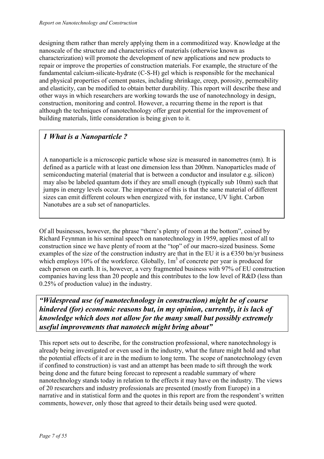designing them rather than merely applying them in a commoditized way. Knowledge at the nanoscale of the structure and characteristics of materials (otherwise known as characterization) will promote the development of new applications and new products to repair or improve the properties of construction materials. For example, the structure of the fundamental calcium-silicate-hydrate (C-S-H) gel which is responsible for the mechanical and physical properties of cement pastes, including shrinkage, creep, porosity, permeability and elasticity, can be modified to obtain better durability. This report will describe these and other ways in which researchers are working towards the use of nanotechnology in design, construction, monitoring and control. However, a recurring theme in the report is that although the techniques of nanotechnology offer great potential for the improvement of building materials, little consideration is being given to it.

## *1 What is a Nanoparticle ?*

A nanoparticle is a microscopic particle whose size is measured in nanometres (nm). It is defined as a particle with at least one dimension less than 200nm. Nanoparticles made of semiconducting material (material that is between a conductor and insulator e.g. silicon) may also be labeled quantum dots if they are small enough (typically sub 10nm) such that jumps in energy levels occur. The importance of this is that the same material of different sizes can emit different colours when energized with, for instance, UV light. Carbon Nanotubes are a sub set of nanoparticles.

Of all businesses, however, the phrase "there's plenty of room at the bottom", coined by Richard Feynman in his seminal speech on nanotechnology in 1959, applies most of all to construction since we have plenty of room at the "top" of our macro-sized business. Some examples of the size of the construction industry are that in the EU it is a  $\epsilon$ 350 bn/yr business which employs 10% of the workforce. Globally,  $1m<sup>3</sup>$  of concrete per year is produced for each person on earth. It is, however, a very fragmented business with 97% of EU construction companies having less than 20 people and this contributes to the low level of R&D (less than 0.25% of production value) in the industry.

*"Widespread use (of nanotechnology in construction) might be of course hindered (for) economic reasons but, in my opinion, currently, it is lack of knowledge which does not allow for the many small but possibly extremely useful improvements that nanotech might bring about"* 

This report sets out to describe, for the construction professional, where nanotechnology is already being investigated or even used in the industry, what the future might hold and what the potential effects of it are in the medium to long term. The scope of nanotechnology (even if confined to construction) is vast and an attempt has been made to sift through the work being done and the future being forecast to represent a readable summary of where nanotechnology stands today in relation to the effects it may have on the industry. The views of 20 researchers and industry professionals are presented (mostly from Europe) in a narrative and in statistical form and the quotes in this report are from the respondent's written comments, however, only those that agreed to their details being used were quoted.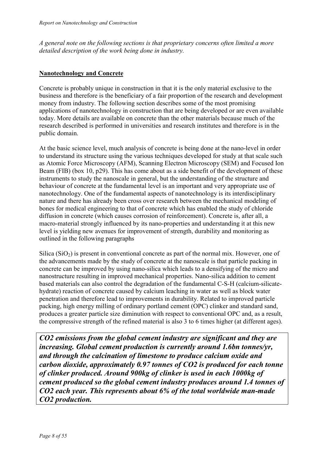*A general note on the following sections is that proprietary concerns often limited a more detailed description of the work being done in industry.* 

#### **Nanotechnology and Concrete**

Concrete is probably unique in construction in that it is the only material exclusive to the business and therefore is the beneficiary of a fair proportion of the research and development money from industry. The following section describes some of the most promising applications of nanotechnology in construction that are being developed or are even available today. More details are available on concrete than the other materials because much of the research described is performed in universities and research institutes and therefore is in the public domain.

At the basic science level, much analysis of concrete is being done at the nano-level in order to understand its structure using the various techniques developed for study at that scale such as Atomic Force Microscopy (AFM), Scanning Electron Microscopy (SEM) and Focused Ion Beam (FIB) (box 10, p29). This has come about as a side benefit of the development of these instruments to study the nanoscale in general, but the understanding of the structure and behaviour of concrete at the fundamental level is an important and very appropriate use of nanotechnology. One of the fundamental aspects of nanotechnology is its interdisciplinary nature and there has already been cross over research between the mechanical modeling of bones for medical engineering to that of concrete which has enabled the study of chloride diffusion in concrete (which causes corrosion of reinforcement). Concrete is, after all, a macro-material strongly influenced by its nano-properties and understanding it at this new level is yielding new avenues for improvement of strength, durability and monitoring as outlined in the following paragraphs

Silica  $(SiO<sub>2</sub>)$  is present in conventional concrete as part of the normal mix. However, one of the advancements made by the study of concrete at the nanoscale is that particle packing in concrete can be improved by using nano-silica which leads to a densifying of the micro and nanostructure resulting in improved mechanical properties. Nano-silica addition to cement based materials can also control the degradation of the fundamental C-S-H (calcium-silicatehydrate) reaction of concrete caused by calcium leaching in water as well as block water penetration and therefore lead to improvements in durability. Related to improved particle packing, high energy milling of ordinary portland cement (OPC) clinker and standard sand, produces a greater particle size diminution with respect to conventional OPC and, as a result, the compressive strength of the refined material is also 3 to 6 times higher (at different ages).

*CO2 emissions from the global cement industry are significant and they are increasing. Global cement production is currently around 1.6bn tonnes/yr, and through the calcination of limestone to produce calcium oxide and carbon dioxide, approximately 0.97 tonnes of CO2 is produced for each tonne of clinker produced. Around 900kg of clinker is used in each 1000kg of cement produced so the global cement industry produces around 1.4 tonnes of CO2 each year. This represents about 6% of the total worldwide man-made CO2 production.*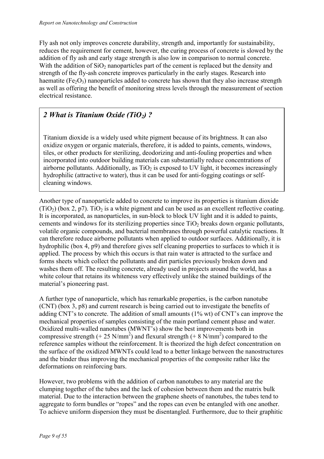Fly ash not only improves concrete durability, strength and, importantly for sustainability, reduces the requirement for cement, however, the curing process of concrete is slowed by the addition of fly ash and early stage strength is also low in comparison to normal concrete. With the addition of  $SiO<sub>2</sub>$  nanoparticles part of the cement is replaced but the density and strength of the fly-ash concrete improves particularly in the early stages. Research into haematite ( $Fe<sub>2</sub>O<sub>3</sub>$ ) nanoparticles added to concrete has shown that they also increase strength as well as offering the benefit of monitoring stress levels through the measurement of section electrical resistance.

## 2 What is Titanium Oxide (TiO<sub>2</sub>)?

Titanium dioxide is a widely used white pigment because of its brightness. It can also oxidize oxygen or organic materials, therefore, it is added to paints, cements, windows, tiles, or other products for sterilizing, deodorizing and anti-fouling properties and when incorporated into outdoor building materials can substantially reduce concentrations of airborne pollutants. Additionally, as  $TiO<sub>2</sub>$  is exposed to UV light, it becomes increasingly hydrophilic (attractive to water), thus it can be used for anti-fogging coatings or selfcleaning windows.

Another type of nanoparticle added to concrete to improve its properties is titanium dioxide  $(TiO<sub>2</sub>)$  (box 2, p7). TiO<sub>2</sub> is a white pigment and can be used as an excellent reflective coating. It is incorporated, as nanoparticles, in sun-block to block UV light and it is added to paints, cements and windows for its sterilizing properties since  $TiO<sub>2</sub>$  breaks down organic pollutants, volatile organic compounds, and bacterial membranes through powerful catalytic reactions. It can therefore reduce airborne pollutants when applied to outdoor surfaces. Additionally, it is hydrophilic (box 4, p9) and therefore gives self cleaning properties to surfaces to which it is applied. The process by which this occurs is that rain water is attracted to the surface and forms sheets which collect the pollutants and dirt particles previously broken down and washes them off. The resulting concrete, already used in projects around the world, has a white colour that retains its whiteness very effectively unlike the stained buildings of the material's pioneering past.

A further type of nanoparticle, which has remarkable properties, is the carbon nanotube (CNT) (box 3, p8) and current research is being carried out to investigate the benefits of adding CNT's to concrete. The addition of small amounts (1% wt) of CNT's can improve the mechanical properties of samples consisting of the main portland cement phase and water. Oxidized multi-walled nanotubes (MWNT's) show the best improvements both in compressive strength (+ 25 N/mm<sup>2</sup>) and flexural strength (+ 8 N/mm<sup>2</sup>) compared to the reference samples without the reinforcement. It is theorized the high defect concentration on the surface of the oxidized MWNTs could lead to a better linkage between the nanostructures and the binder thus improving the mechanical properties of the composite rather like the deformations on reinforcing bars.

However, two problems with the addition of carbon nanotubes to any material are the clumping together of the tubes and the lack of cohesion between them and the matrix bulk material. Due to the interaction between the graphene sheets of nanotubes, the tubes tend to aggregate to form bundles or "ropes" and the ropes can even be entangled with one another. To achieve uniform dispersion they must be disentangled. Furthermore, due to their graphitic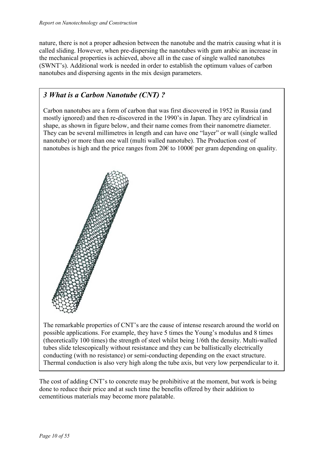nature, there is not a proper adhesion between the nanotube and the matrix causing what it is called sliding. However, when pre-dispersing the nanotubes with gum arabic an increase in the mechanical properties is achieved, above all in the case of single walled nanotubes (SWNT's). Additional work is needed in order to establish the optimum values of carbon nanotubes and dispersing agents in the mix design parameters.

## *3 What is a Carbon Nanotube (CNT) ?*

Carbon nanotubes are a form of carbon that was first discovered in 1952 in Russia (and mostly ignored) and then re-discovered in the 1990's in Japan. They are cylindrical in shape, as shown in figure below, and their name comes from their nanometre diameter. They can be several millimetres in length and can have one "layer" or wall (single walled nanotube) or more than one wall (multi walled nanotube). The Production cost of nanotubes is high and the price ranges from 20 $\epsilon$  to 1000 $\epsilon$  per gram depending on quality.



The remarkable properties of CNT's are the cause of intense research around the world on possible applications. For example, they have 5 times the Young's modulus and 8 times (theoretically 100 times) the strength of steel whilst being 1/6th the density. Multi-walled tubes slide telescopically without resistance and they can be ballistically electrically conducting (with no resistance) or semi-conducting depending on the exact structure. Thermal conduction is also very high along the tube axis, but very low perpendicular to it.

The cost of adding CNT's to concrete may be prohibitive at the moment, but work is being done to reduce their price and at such time the benefits offered by their addition to cementitious materials may become more palatable.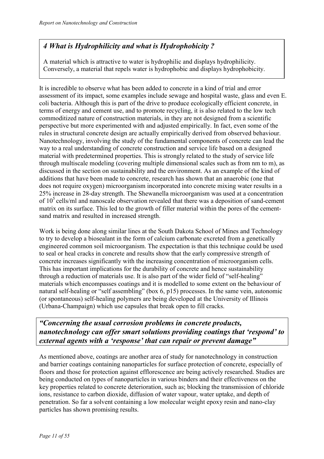## *4 What is Hydrophilicity and what is Hydrophobicity ?*

A material which is attractive to water is hydrophilic and displays hydrophilicity. Conversely, a material that repels water is hydrophobic and displays hydrophobicity.

It is incredible to observe what has been added to concrete in a kind of trial and error assessment of its impact, some examples include sewage and hospital waste, glass and even E. coli bacteria. Although this is part of the drive to produce ecologically efficient concrete, in terms of energy and cement use, and to promote recycling, it is also related to the low tech commoditized nature of construction materials, in they are not designed from a scientific perspective but more experimented with and adjusted empirically. In fact, even some of the rules in structural concrete design are actually empirically derived from observed behaviour. Nanotechnology, involving the study of the fundamental components of concrete can lead the way to a real understanding of concrete construction and service life based on a designed material with predetermined properties. This is strongly related to the study of service life through multiscale modeling (covering multiple dimensional scales such as from nm to m), as discussed in the section on sustainability and the environment. As an example of the kind of additions that have been made to concrete, research has shown that an anaerobic (one that does not require oxygen) microorganism incorporated into concrete mixing water results in a 25% increase in 28-day strength. The Shewanella microorganism was used at a concentration of  $10^5$  cells/ml and nanoscale observation revealed that there was a deposition of sand-cement matrix on its surface. This led to the growth of filler material within the pores of the cementsand matrix and resulted in increased strength.

Work is being done along similar lines at the South Dakota School of Mines and Technology to try to develop a biosealant in the form of calcium carbonate excreted from a genetically engineered common soil microorganism. The expectation is that this technique could be used to seal or heal cracks in concrete and results show that the early compressive strength of concrete increases significantly with the increasing concentration of microorganism cells. This has important implications for the durability of concrete and hence sustainability through a reduction of materials use. It is also part of the wider field of "self-healing" materials which encompasses coatings and it is modelled to some extent on the behaviour of natural self-healing or "self assembling" (box 6, p15) processes. In the same vein, autonomic (or spontaneous) self-healing polymers are being developed at the University of Illinois (Urbana-Champaign) which use capsules that break open to fill cracks.

*"Concerning the usual corrosion problems in concrete products, nanotechnology can offer smart solutions providing coatings that 'respond' to external agents with a 'response' that can repair or prevent damage"* 

As mentioned above, coatings are another area of study for nanotechnology in construction and barrier coatings containing nanoparticles for surface protection of concrete, especially of floors and those for protection against efflorescence are being actively researched. Studies are being conducted on types of nanoparticles in various binders and their effectiveness on the key properties related to concrete deterioration, such as; blocking the transmission of chloride ions, resistance to carbon dioxide, diffusion of water vapour, water uptake, and depth of penetration. So far a solvent containing a low molecular weight epoxy resin and nano-clay particles has shown promising results.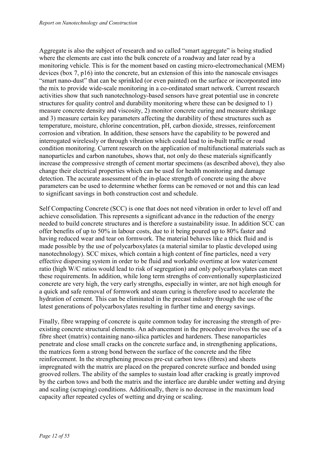Aggregate is also the subject of research and so called "smart aggregate" is being studied where the elements are cast into the bulk concrete of a roadway and later read by a monitoring vehicle. This is for the moment based on casting micro-electromechanical (MEM) devices (box 7, p16) into the concrete, but an extension of this into the nanoscale envisages "smart nano-dust" that can be sprinkled (or even painted) on the surface or incorporated into the mix to provide wide-scale monitoring in a co-ordinated smart network. Current research activities show that such nanotechnology-based sensors have great potential use in concrete structures for quality control and durability monitoring where these can be designed to 1) measure concrete density and viscosity, 2) monitor concrete curing and measure shrinkage and 3) measure certain key parameters affecting the durability of these structures such as temperature, moisture, chlorine concentration, pH, carbon dioxide, stresses, reinforcement corrosion and vibration. In addition, these sensors have the capability to be powered and interrogated wirelessly or through vibration which could lead to in-built traffic or road condition monitoring. Current research on the application of multifunctional materials such as nanoparticles and carbon nanotubes, shows that, not only do these materials significantly increase the compressive strength of cement mortar specimens (as described above), they also change their electrical properties which can be used for health monitoring and damage detection. The accurate assessment of the in-place strength of concrete using the above parameters can be used to determine whether forms can be removed or not and this can lead to significant savings in both construction cost and schedule.

Self Compacting Concrete (SCC) is one that does not need vibration in order to level off and achieve consolidation. This represents a significant advance in the reduction of the energy needed to build concrete structures and is therefore a sustainability issue. In addition SCC can offer benefits of up to 50% in labour costs, due to it being poured up to 80% faster and having reduced wear and tear on formwork. The material behaves like a thick fluid and is made possible by the use of polycarboxylates (a material similar to plastic developed using nanotechnology). SCC mixes, which contain a high content of fine particles, need a very effective dispersing system in order to be fluid and workable overtime at low water/cement ratio (high W/C ratios would lead to risk of segregation) and only polycarboxylates can meet these requirements. In addition, while long term strengths of conventionally superplasticized concrete are very high, the very early strengths, especially in winter, are not high enough for a quick and safe removal of formwork and steam curing is therefore used to accelerate the hydration of cement. This can be eliminated in the precast industry through the use of the latest generations of polycarboxylates resulting in further time and energy savings.

Finally, fibre wrapping of concrete is quite common today for increasing the strength of preexisting concrete structural elements. An advancement in the procedure involves the use of a fibre sheet (matrix) containing nano-silica particles and hardeners. These nanoparticles penetrate and close small cracks on the concrete surface and, in strengthening applications, the matrices form a strong bond between the surface of the concrete and the fibre reinforcement. In the strengthening process pre-cut carbon tows (fibres) and sheets impregnated with the matrix are placed on the prepared concrete surface and bonded using grooved rollers. The ability of the samples to sustain load after cracking is greatly improved by the carbon tows and both the matrix and the interface are durable under wetting and drying and scaling (scraping) conditions. Additionally, there is no decrease in the maximum load capacity after repeated cycles of wetting and drying or scaling.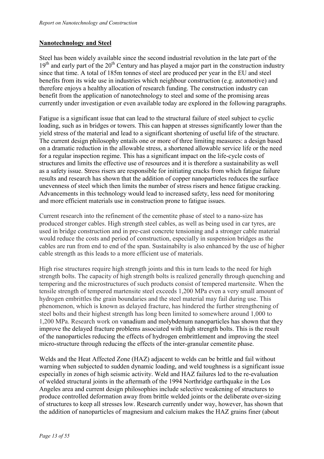#### **Nanotechnology and Steel**

Steel has been widely available since the second industrial revolution in the late part of the  $19<sup>th</sup>$  and early part of the  $20<sup>th</sup>$  Century and has played a major part in the construction industry since that time. A total of 185m tonnes of steel are produced per year in the EU and steel benefits from its wide use in industries which neighbour construction (e.g. automotive) and therefore enjoys a healthy allocation of research funding. The construction industry can benefit from the application of nanotechnology to steel and some of the promising areas currently under investigation or even available today are explored in the following paragraphs.

Fatigue is a significant issue that can lead to the structural failure of steel subject to cyclic loading, such as in bridges or towers. This can happen at stresses significantly lower than the yield stress of the material and lead to a significant shortening of useful life of the structure. The current design philosophy entails one or more of three limiting measures: a design based on a dramatic reduction in the allowable stress, a shortened allowable service life or the need for a regular inspection regime. This has a significant impact on the life-cycle costs of structures and limits the effective use of resources and it is therefore a sustainability as well as a safety issue. Stress risers are responsible for initiating cracks from which fatigue failure results and research has shown that the addition of copper nanoparticles reduces the surface unevenness of steel which then limits the number of stress risers and hence fatigue cracking. Advancements in this technology would lead to increased safety, less need for monitoring and more efficient materials use in construction prone to fatigue issues.

Current research into the refinement of the cementite phase of steel to a nano-size has produced stronger cables. High strength steel cables, as well as being used in car tyres, are used in bridge construction and in pre-cast concrete tensioning and a stronger cable material would reduce the costs and period of construction, especially in suspension bridges as the cables are run from end to end of the span. Sustainabilty is also enhanced by the use of higher cable strength as this leads to a more efficient use of materials.

High rise structures require high strength joints and this in turn leads to the need for high strength bolts. The capacity of high strength bolts is realized generally through quenching and tempering and the microstructures of such products consist of tempered martensite. When the tensile strength of tempered martensite steel exceeds 1,200 MPa even a very small amount of hydrogen embrittles the grain boundaries and the steel material may fail during use. This phenomenon, which is known as delayed fracture, has hindered the further strengthening of steel bolts and their highest strength has long been limited to somewhere around 1,000 to 1,200 MPa. Research work on vanadium and molybdenum nanoparticles has shown that they improve the delayed fracture problems associated with high strength bolts. This is the result of the nanoparticles reducing the effects of hydrogen embrittlement and improving the steel micro-structure through reducing the effects of the inter-granular cementite phase.

Welds and the Heat Affected Zone (HAZ) adjacent to welds can be brittle and fail without warning when subjected to sudden dynamic loading, and weld toughness is a significant issue especially in zones of high seismic activity. Weld and HAZ failures led to the re-evaluation of welded structural joints in the aftermath of the 1994 Northridge earthquake in the Los Angeles area and current design philosophies include selective weakening of structures to produce controlled deformation away from brittle welded joints or the deliberate over-sizing of structures to keep all stresses low. Research currently under way, however, has shown that the addition of nanoparticles of magnesium and calcium makes the HAZ grains finer (about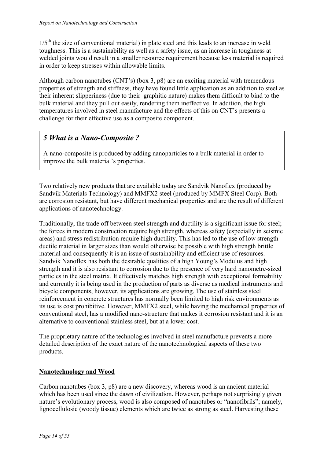$1/5<sup>th</sup>$  the size of conventional material) in plate steel and this leads to an increase in weld toughness. This is a sustainability as well as a safety issue, as an increase in toughness at welded joints would result in a smaller resource requirement because less material is required in order to keep stresses within allowable limits.

Although carbon nanotubes (CNT's) (box 3, p8) are an exciting material with tremendous properties of strength and stiffness, they have found little application as an addition to steel as their inherent slipperiness (due to their graphitic nature) makes them difficult to bind to the bulk material and they pull out easily, rendering them ineffective. In addition, the high temperatures involved in steel manufacture and the effects of this on CNT's presents a challenge for their effective use as a composite component.

## *5 What is a Nano-Composite ?*

A nano-composite is produced by adding nanoparticles to a bulk material in order to improve the bulk material's properties.

Two relatively new products that are available today are Sandvik Nanoflex (produced by Sandvik Materials Technology) and MMFX2 steel (produced by MMFX Steel Corp). Both are corrosion resistant, but have different mechanical properties and are the result of different applications of nanotechnology.

Traditionally, the trade off between steel strength and ductility is a significant issue for steel; the forces in modern construction require high strength, whereas safety (especially in seismic areas) and stress redistribution require high ductility. This has led to the use of low strength ductile material in larger sizes than would otherwise be possible with high strength brittle material and consequently it is an issue of sustainability and efficient use of resources. Sandvik Nanoflex has both the desirable qualities of a high Young's Modulus and high strength and it is also resistant to corrosion due to the presence of very hard nanometre-sized particles in the steel matrix. It effectively matches high strength with exceptional formability and currently it is being used in the production of parts as diverse as medical instruments and bicycle components, however, its applications are growing. The use of stainless steel reinforcement in concrete structures has normally been limited to high risk environments as its use is cost prohibitive. However, MMFX2 steel, while having the mechanical properties of conventional steel, has a modified nano-structure that makes it corrosion resistant and it is an alternative to conventional stainless steel, but at a lower cost.

The proprietary nature of the technologies involved in steel manufacture prevents a more detailed description of the exact nature of the nanotechnological aspects of these two products.

#### **Nanotechnology and Wood**

Carbon nanotubes (box 3, p8) are a new discovery, whereas wood is an ancient material which has been used since the dawn of civilization. However, perhaps not surprisingly given nature's evolutionary process, wood is also composed of nanotubes or "nanofibrils"; namely, lignocellulosic (woody tissue) elements which are twice as strong as steel. Harvesting these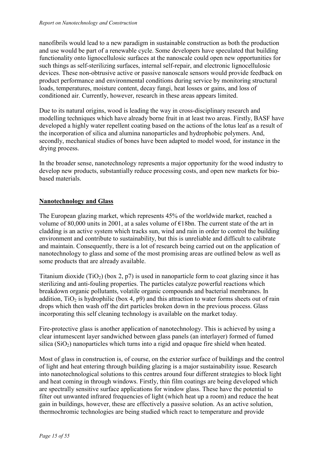nanofibrils would lead to a new paradigm in sustainable construction as both the production and use would be part of a renewable cycle. Some developers have speculated that building functionality onto lignocellulosic surfaces at the nanoscale could open new opportunities for such things as self-sterilizing surfaces, internal self-repair, and electronic lignocellulosic devices. These non-obtrusive active or passive nanoscale sensors would provide feedback on product performance and environmental conditions during service by monitoring structural loads, temperatures, moisture content, decay fungi, heat losses or gains, and loss of conditioned air. Currently, however, research in these areas appears limited.

Due to its natural origins, wood is leading the way in cross-disciplinary research and modelling techniques which have already borne fruit in at least two areas. Firstly, BASF have developed a highly water repellent coating based on the actions of the lotus leaf as a result of the incorporation of silica and alumina nanoparticles and hydrophobic polymers. And, secondly, mechanical studies of bones have been adapted to model wood, for instance in the drying process.

In the broader sense, nanotechnology represents a major opportunity for the wood industry to develop new products, substantially reduce processing costs, and open new markets for biobased materials.

#### **Nanotechnology and Glass**

The European glazing market, which represents 45% of the worldwide market, reached a volume of 80,000 units in 2001, at a sales volume of €18bn. The current state of the art in cladding is an active system which tracks sun, wind and rain in order to control the building environment and contribute to sustainability, but this is unreliable and difficult to calibrate and maintain. Consequently, there is a lot of research being carried out on the application of nanotechnology to glass and some of the most promising areas are outlined below as well as some products that are already available.

Titanium dioxide (TiO<sub>2</sub>) (box 2, p7) is used in nanoparticle form to coat glazing since it has sterilizing and anti-fouling properties. The particles catalyze powerful reactions which breakdown organic pollutants, volatile organic compounds and bacterial membranes. In addition,  $TiO<sub>2</sub>$  is hydrophilic (box 4, p9) and this attraction to water forms sheets out of rain drops which then wash off the dirt particles broken down in the previous process. Glass incorporating this self cleaning technology is available on the market today.

Fire-protective glass is another application of nanotechnology. This is achieved by using a clear intumescent layer sandwiched between glass panels (an interlayer) formed of fumed silica  $(SiO<sub>2</sub>)$  nanoparticles which turns into a rigid and opaque fire shield when heated.

Most of glass in construction is, of course, on the exterior surface of buildings and the control of light and heat entering through building glazing is a major sustainability issue. Research into nanotechnological solutions to this centres around four different strategies to block light and heat coming in through windows. Firstly, thin film coatings are being developed which are spectrally sensitive surface applications for window glass. These have the potential to filter out unwanted infrared frequencies of light (which heat up a room) and reduce the heat gain in buildings, however, these are effectively a passive solution. As an active solution, thermochromic technologies are being studied which react to temperature and provide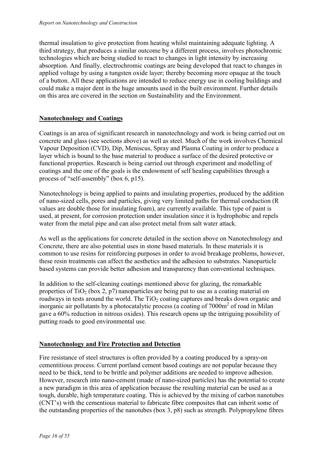thermal insulation to give protection from heating whilst maintaining adequate lighting. A third strategy, that produces a similar outcome by a different process, involves photochromic technologies which are being studied to react to changes in light intensity by increasing absorption. And finally, electrochromic coatings are being developed that react to changes in applied voltage by using a tungsten oxide layer; thereby becoming more opaque at the touch of a button. All these applications are intended to reduce energy use in cooling buildings and could make a major dent in the huge amounts used in the built environment. Further details on this area are covered in the section on Sustainability and the Environment.

#### **Nanotechnology and Coatings**

Coatings is an area of significant research in nanotechnology and work is being carried out on concrete and glass (see sections above) as well as steel. Much of the work involves Chemical Vapour Deposition (CVD), Dip, Meniscus, Spray and Plasma Coating in order to produce a layer which is bound to the base material to produce a surface of the desired protective or functional properties. Research is being carried out through experiment and modelling of coatings and the one of the goals is the endowment of self healing capabilities through a process of "self-assembly" (box 6, p15).

Nanotechnology is being applied to paints and insulating properties, produced by the addition of nano-sized cells, pores and particles, giving very limited paths for thermal conduction (R values are double those for insulating foam), are currently available. This type of paint is used, at present, for corrosion protection under insulation since it is hydrophobic and repels water from the metal pipe and can also protect metal from salt water attack.

As well as the applications for concrete detailed in the section above on Nanotechnology and Concrete, there are also potential uses in stone based materials. In these materials it is common to use resins for reinforcing purposes in order to avoid breakage problems, however, these resin treatments can affect the aesthetics and the adhesion to substrates. Nanoparticle based systems can provide better adhesion and transparency than conventional techniques.

In addition to the self-cleaning coatings mentioned above for glazing, the remarkable properties of  $TiO<sub>2</sub>$  (box 2, p7) nanoparticles are being put to use as a coating material on roadways in tests around the world. The  $TiO<sub>2</sub>$  coating captures and breaks down organic and inorganic air pollutants by a photocatalytic process (a coating of 7000m<sup>2</sup> of road in Milan gave a 60% reduction in nitrous oxides). This research opens up the intriguing possibility of putting roads to good environmental use.

#### **Nanotechnology and Fire Protection and Detection**

Fire resistance of steel structures is often provided by a coating produced by a spray-on cementitious process. Current portland cement based coatings are not popular because they need to be thick, tend to be brittle and polymer additions are needed to improve adhesion. However, research into nano-cement (made of nano-sized particles) has the potential to create a new paradigm in this area of application because the resulting material can be used as a tough, durable, high temperature coating. This is achieved by the mixing of carbon nanotubes (CNT's) with the cementious material to fabricate fibre composites that can inherit some of the outstanding properties of the nanotubes (box 3, p8) such as strength. Polypropylene fibres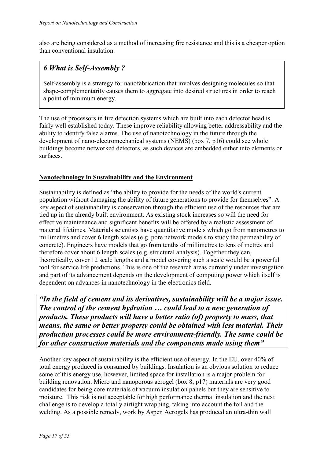also are being considered as a method of increasing fire resistance and this is a cheaper option than conventional insulation.

## *6 What is Self-Assembly ?*

Self-assembly is a strategy for nanofabrication that involves designing molecules so that shape-complementarity causes them to aggregate into desired structures in order to reach a point of minimum energy.

The use of processors in fire detection systems which are built into each detector head is fairly well established today. These improve reliability allowing better addressability and the ability to identify false alarms. The use of nanotechnology in the future through the development of nano-electromechanical systems (NEMS) (box 7, p16) could see whole buildings become networked detectors, as such devices are embedded either into elements or surfaces.

#### **Nanotechnology in Sustainability and the Environment**

Sustainability is defined as "the ability to provide for the needs of the world's current population without damaging the ability of future generations to provide for themselves". A key aspect of sustainability is conservation through the efficient use of the resources that are tied up in the already built environment. As existing stock increases so will the need for effective maintenance and significant benefits will be offered by a realistic assessment of material lifetimes. Materials scientists have quantitative models which go from nanometres to millimetres and cover 6 length scales (e.g. pore network models to study the permeability of concrete). Engineers have models that go from tenths of millimetres to tens of metres and therefore cover about 6 length scales (e.g. structural analysis). Together they can, theoretically, cover 12 scale lengths and a model covering such a scale would be a powerful tool for service life predictions. This is one of the research areas currently under investigation and part of its advancement depends on the development of computing power which itself is dependent on advances in nanotechnology in the electronics field.

*"In the field of cement and its derivatives, sustainability will be a major issue. The control of the cement hydration … could lead to a new generation of products. These products will have a better ratio (of) property to mass, that means, the same or better property could be obtained with less material. Their production processes could be more environment-friendly. The same could be for other construction materials and the components made using them"* 

Another key aspect of sustainability is the efficient use of energy. In the EU, over 40% of total energy produced is consumed by buildings. Insulation is an obvious solution to reduce some of this energy use, however, limited space for installation is a major problem for building renovation. Micro and nanoporous aerogel (box 8, p17) materials are very good candidates for being core materials of vacuum insulation panels but they are sensitive to moisture. This risk is not acceptable for high performance thermal insulation and the next challenge is to develop a totally airtight wrapping, taking into account the foil and the welding. As a possible remedy, work by Aspen Aerogels has produced an ultra-thin wall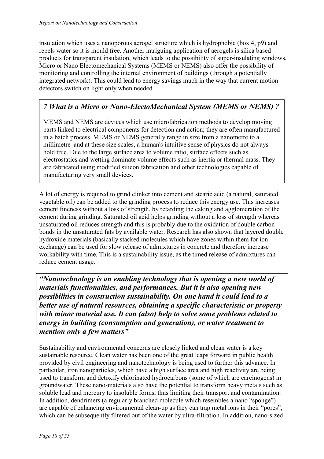insulation which uses a nanoporous aerogel structure which is hydrophobic (box 4, p9) and repels water so it is mould free. Another intriguing application of aerogels is silica based products for transparent insulation, which leads to the possibility of super-insulating windows. Micro or Nano Electomechanical Systems (MEMS or NEMS) also offer the possibility of monitoring and controlling the internal environment of buildings (through a potentially integrated network). This could lead to energy savings much in the way that current motion detectors switch on light only when needed.

## *7 What is a Micro or Nano-ElectoMechanical System (MEMS or NEMS) ?*

MEMS and NEMS are devices which use microfabrication methods to develop moving parts linked to electrical components for detection and action; they are often manufactured in a batch process. MEMS or NEMS generally range in size from a nanometre to a millimetre and at these size scales, a human's intuitive sense of physics do not always hold true. Due to the large surface area to volume ratio, surface effects such as electrostatics and wetting dominate volume effects such as inertia or thermal mass. They are fabricated using modified silicon fabrication and other technologies capable of manufacturing very small devices.

A lot of energy is required to grind clinker into cement and stearic acid (a natural, saturated vegetable oil) can be added to the grinding process to reduce this energy use. This increases cement fineness without a loss of strength, by retarding the caking and agglomeration of the cement during grinding. Saturated oil acid helps grinding without a loss of strength whereas unsaturated oil reduces strength and this is probably due to the oxidation of double carbon bonds in the unsaturated fats by available water. Research has also shown that layered double hydroxide materials (basically stacked molecules which have zones within them for ion exchange) can be used for slow release of admixtures in concrete and therefore increase workability with time. This is a sustainability issue, as the timed release of admixtures can reduce cement usage.

*"Nanotechnology is an enabling technology that is opening a new world of materials functionalities, and performances. But it is also opening new possibilities in construction sustainability. On one hand it could lead to a better use of natural resources, obtaining a specific characteristic or property with minor material use. It can (also) help to solve some problems related to energy in building (consumption and generation), or water treatment to mention only a few matters"* 

Sustainability and environmental concerns are closely linked and clean water is a key sustainable resource. Clean water has been one of the great leaps forward in public health provided by civil engineering and nanotechnology is being used to further this advance. In particular, iron nanoparticles, which have a high surface area and high reactivity are being used to transform and detoxify chlorinated hydrocarbons (some of which are carcinogens) in groundwater. These nano-materials also have the potential to transform heavy metals such as soluble lead and mercury to insoluble forms, thus limiting their transport and contamination. In addition, dendrimers (a regularly branched molecule which resembles a nano "sponge") are capable of enhancing environmental clean-up as they can trap metal ions in their "pores", which can be subsequently filtered out of the water by ultra-filtration. In addition, nano-sized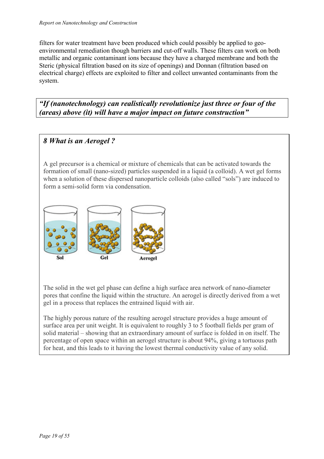filters for water treatment have been produced which could possibly be applied to geoenvironmental remediation though barriers and cut-off walls. These filters can work on both metallic and organic contaminant ions because they have a charged membrane and both the Steric (physical filtration based on its size of openings) and Donnan (filtration based on electrical charge) effects are exploited to filter and collect unwanted contaminants from the system.

*"If (nanotechnology) can realistically revolutionize just three or four of the (areas) above (it) will have a major impact on future construction"*

## *8 What is an Aerogel ?*

A gel precursor is a chemical or mixture of chemicals that can be activated towards the formation of small (nano-sized) particles suspended in a liquid (a colloid). A wet gel forms when a solution of these dispersed nanoparticle colloids (also called "sols") are induced to form a semi-solid form via condensation.



The solid in the wet gel phase can define a high surface area network of nano-diameter pores that confine the liquid within the structure. An aerogel is directly derived from a wet gel in a process that replaces the entrained liquid with air.

The highly porous nature of the resulting aerogel structure provides a huge amount of surface area per unit weight. It is equivalent to roughly 3 to 5 football fields per gram of solid material – showing that an extraordinary amount of surface is folded in on itself. The percentage of open space within an aerogel structure is about 94%, giving a tortuous path for heat, and this leads to it having the lowest thermal conductivity value of any solid.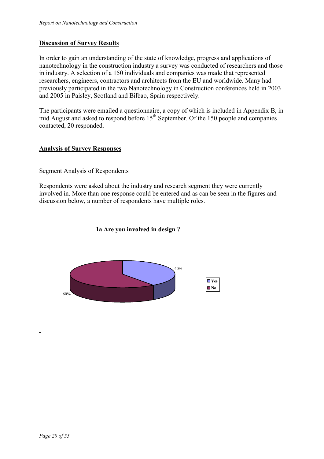#### **Discussion of Survey Results**

In order to gain an understanding of the state of knowledge, progress and applications of nanotechnology in the construction industry a survey was conducted of researchers and those in industry. A selection of a 150 individuals and companies was made that represented researchers, engineers, contractors and architects from the EU and worldwide. Many had previously participated in the two Nanotechnology in Construction conferences held in 2003 and 2005 in Paisley, Scotland and Bilbao, Spain respectively.

The participants were emailed a questionnaire, a copy of which is included in Appendix B, in mid August and asked to respond before  $15<sup>th</sup>$  September. Of the 150 people and companies contacted, 20 responded.

#### **Analysis of Survey Responses**

#### Segment Analysis of Respondents

Respondents were asked about the industry and research segment they were currently involved in. More than one response could be entered and as can be seen in the figures and discussion below, a number of respondents have multiple roles.

#### **1a Are you involved in design ?**

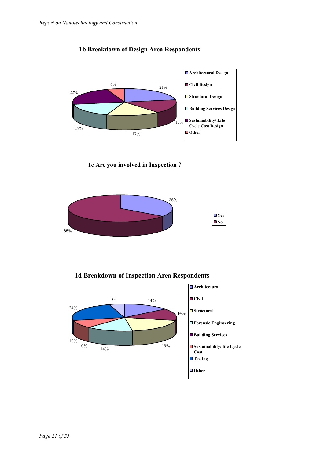

#### **1b Breakdown of Design Area Respondents**





**1d Breakdown of Inspection Area Respondents**

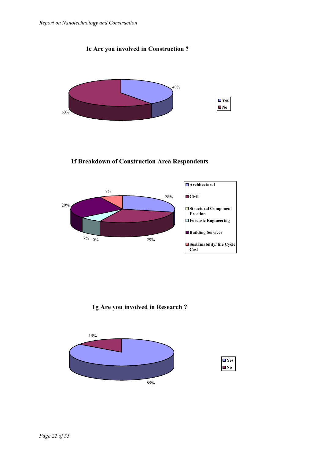



**1f Breakdown of Construction Area Respondents**



**1g Are you involved in Research ?**



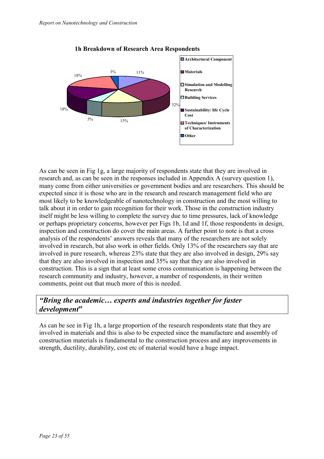

**1h Breakdown of Research Area Respondents**

As can be seen in Fig 1g, a large majority of respondents state that they are involved in research and, as can be seen in the responses included in Appendix A (survey question 1), many come from either universities or government bodies and are researchers. This should be expected since it is those who are in the research and research management field who are most likely to be knowledgeable of nanotechnology in construction and the most willing to talk about it in order to gain recognition for their work. Those in the construction industry itself might be less willing to complete the survey due to time pressures, lack of knowledge or perhaps proprietary concerns, however per Figs 1b, 1d and 1f, those respondents in design, inspection and construction do cover the main areas. A further point to note is that a cross analysis of the respondents' answers reveals that many of the researchers are not solely involved in research, but also work in other fields. Only 13% of the researchers say that are involved in pure research, whereas 23% state that they are also involved in design, 29% say that they are also involved in inspection and 35% say that they are also involved in construction. This is a sign that at least some cross communication is happening between the research community and industry, however, a number of respondents, in their written comments, point out that much more of this is needed.

## *"Bring the academic… experts and industries together for faster development***"**

As can be see in Fig 1h, a large proportion of the research respondents state that they are involved in materials and this is also to be expected since the manufacture and assembly of construction materials is fundamental to the construction process and any improvements in strength, ductility, durability, cost etc of material would have a huge impact.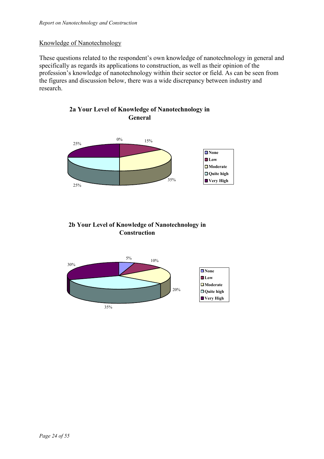#### Knowledge of Nanotechnology

These questions related to the respondent's own knowledge of nanotechnology in general and specifically as regards its applications to construction, as well as their opinion of the profession's knowledge of nanotechnology within their sector or field. As can be seen from the figures and discussion below, there was a wide discrepancy between industry and research.





## **2b Your Level of Knowledge of Nanotechnology in Construction**

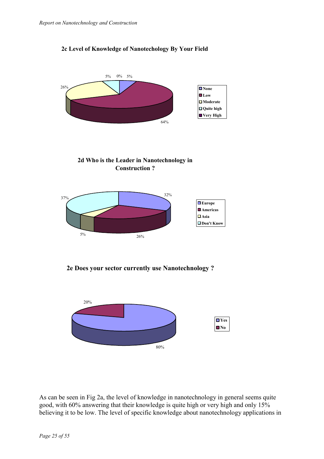#### **2c Level of Knowledge of Nanotechology By Your Field**







**2e Does your sector currently use Nanotechnology ?**



As can be seen in Fig 2a, the level of knowledge in nanotechnology in general seems quite good, with 60% answering that their knowledge is quite high or very high and only 15% believing it to be low. The level of specific knowledge about nanotechnology applications in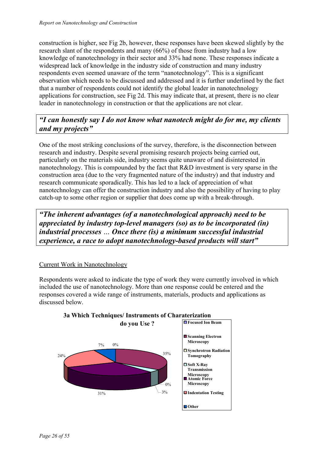construction is higher, see Fig 2b, however, these responses have been skewed slightly by the research slant of the respondents and many (66%) of those from industry had a low knowledge of nanotechnology in their sector and 33% had none. These responses indicate a widespread lack of knowledge in the industry side of construction and many industry respondents even seemed unaware of the term "nanotechnology". This is a significant observation which needs to be discussed and addressed and it is further underlined by the fact that a number of respondents could not identify the global leader in nanotechnology applications for construction, see Fig 2d. This may indicate that, at present, there is no clear leader in nanotechnology in construction or that the applications are not clear.

## *"I can honestly say I do not know what nanotech might do for me, my clients and my projects"*

One of the most striking conclusions of the survey, therefore, is the disconnection between research and industry. Despite several promising research projects being carried out, particularly on the materials side, industry seems quite unaware of and disinterested in nanotechnology. This is compounded by the fact that R&D investment is very sparse in the construction area (due to the very fragmented nature of the industry) and that industry and research communicate sporadically. This has led to a lack of appreciation of what nanotechnology can offer the construction industry and also the possibility of having to play catch-up to some other region or supplier that does come up with a break-through.

*"The inherent advantages (of a nanotechnological approach) need to be appreciated by industry top-level managers (so) as to be incorporated (in) industrial processes … Once there (is) a minimum successful industrial experience, a race to adopt nanotechnology-based products will start"* 

#### Current Work in Nanotechnology

Respondents were asked to indicate the type of work they were currently involved in which included the use of nanotechnology. More than one response could be entered and the responses covered a wide range of instruments, materials, products and applications as discussed below.



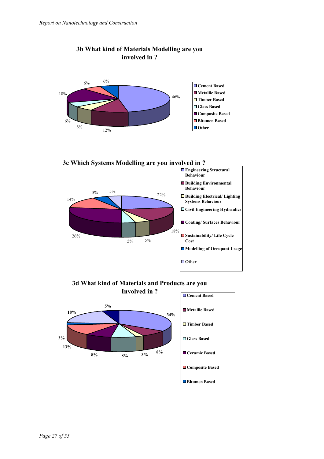

#### **3b What kind of Materials Modelling are you involved in ?**





**3d What kind of Materials and Products are you**

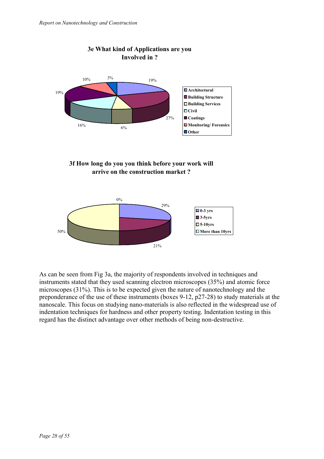

#### **3f How long do you you think before your work will arrive on the construction market ?**



As can be seen from Fig 3a, the majority of respondents involved in techniques and instruments stated that they used scanning electron microscopes (35%) and atomic force microscopes (31%). This is to be expected given the nature of nanotechnology and the preponderance of the use of these instruments (boxes 9-12, p27-28) to study materials at the nanoscale. This focus on studying nano-materials is also reflected in the widespread use of indentation techniques for hardness and other property testing. Indentation testing in this regard has the distinct advantage over other methods of being non-destructive.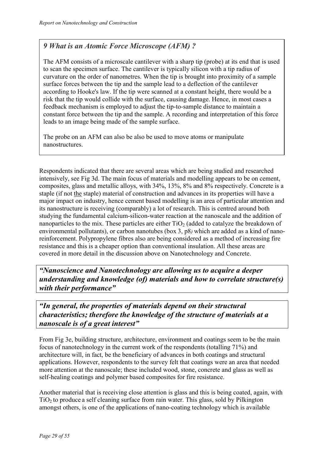## *9 What is an Atomic Force Microscope (AFM) ?*

The AFM consists of a microscale cantilever with a sharp tip (probe) at its end that is used to scan the specimen surface. The cantilever is typically silicon with a tip radius of curvature on the order of nanometres. When the tip is brought into proximity of a sample surface forces between the tip and the sample lead to a deflection of the cantilever according to Hooke's law. If the tip were scanned at a constant height, there would be a risk that the tip would collide with the surface, causing damage. Hence, in most cases a feedback mechanism is employed to adjust the tip-to-sample distance to maintain a constant force between the tip and the sample. A recording and interpretation of this force leads to an image being made of the sample surface.

The probe on an AFM can also be also be used to move atoms or manipulate nanostructures.

Respondents indicated that there are several areas which are being studied and researched intensively, see Fig 3d. The main focus of materials and modelling appears to be on cement, composites, glass and metallic alloys, with 34%, 13%, 8% and 8% respectively. Concrete is a staple (if not the staple) material of construction and advances in its properties will have a major impact on industry, hence cement based modelling is an area of particular attention and its nanostructure is receiving (comparably) a lot of research. This is centred around both studying the fundamental calcium-silicon-water reaction at the nanoscale and the addition of nanoparticles to the mix. These particles are either  $TiO<sub>2</sub>$  (added to catalyze the breakdown of environmental pollutants), or carbon nanotubes (box 3, p8*)* which are added as a kind of nanoreinforcement. Polypropylene fibres also are being considered as a method of increasing fire resistance and this is a cheaper option than conventional insulation. All these areas are covered in more detail in the discussion above on Nanotechnology and Concrete.

*"Nanoscience and Nanotechnology are allowing us to acquire a deeper understanding and knowledge (of) materials and how to correlate structure(s) with their performance"* 

*"In general, the properties of materials depend on their structural characteristics; therefore the knowledge of the structure of materials at a nanoscale is of a great interest"*

From Fig 3e, building structure, architecture, environment and coatings seem to be the main focus of nanotechnology in the current work of the respondents (totalling 71%) and architecture will, in fact, be the beneficiary of advances in both coatings and structural applications. However, respondents to the survey felt that coatings were an area that needed more attention at the nanoscale; these included wood, stone, concrete and glass as well as self-healing coatings and polymer based composites for fire resistance.

Another material that is receiving close attention is glass and this is being coated, again, with  $TiO<sub>2</sub>$  to produce a self cleaning surface from rain water. This glass, sold by Pilkington amongst others, is one of the applications of nano-coating technology which is available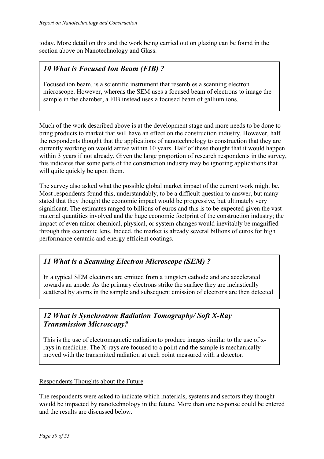today. More detail on this and the work being carried out on glazing can be found in the section above on Nanotechnology and Glass.

## *10 What is Focused Ion Beam (FIB) ?*

Focused ion beam, is a scientific instrument that resembles a scanning electron microscope. However, whereas the SEM uses a focused beam of electrons to image the sample in the chamber, a FIB instead uses a focused beam of gallium ions.

Much of the work described above is at the development stage and more needs to be done to bring products to market that will have an effect on the construction industry. However, half the respondents thought that the applications of nanotechnology to construction that they are currently working on would arrive within 10 years. Half of these thought that it would happen within 3 years if not already. Given the large proportion of research respondents in the survey, this indicates that some parts of the construction industry may be ignoring applications that will quite quickly be upon them.

The survey also asked what the possible global market impact of the current work might be. Most respondents found this, understandably, to be a difficult question to answer, but many stated that they thought the economic impact would be progressive, but ultimately very significant. The estimates ranged to billions of euros and this is to be expected given the vast material quantities involved and the huge economic footprint of the construction industry; the impact of even minor chemical, physical, or system changes would inevitably be magnified through this economic lens. Indeed, the market is already several billions of euros for high performance ceramic and energy efficient coatings.

## *11 What is a Scanning Electron Microscope (SEM) ?*

In a typical SEM electrons are emitted from a tungsten cathode and are accelerated towards an anode. As the primary electrons strike the surface they are inelastically scattered by atoms in the sample and subsequent emission of electrons are then detected

## *12 What is Synchrotron Radiation Tomography/ Soft X-Ray Transmission Microscopy?*

This is the use of electromagnetic radiation to produce images similar to the use of xrays in medicine. The X-rays are focused to a point and the sample is mechanically moved with the transmitted radiation at each point measured with a detector.

#### Respondents Thoughts about the Future

The respondents were asked to indicate which materials, systems and sectors they thought would be impacted by nanotechnology in the future. More than one response could be entered and the results are discussed below.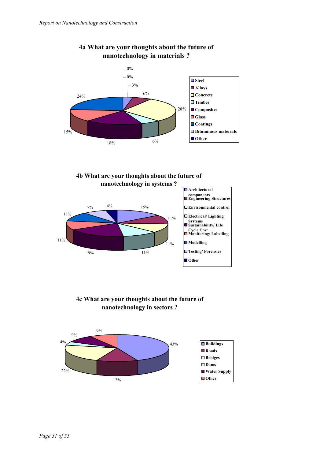

## **4a What are your thoughts about the future of nanotechnology in materials ?**

**4b What are your thoughts about the future of nanotechnology in systems ?**



#### **4c What are your thoughts about the future of nanotechnology in sectors ?**

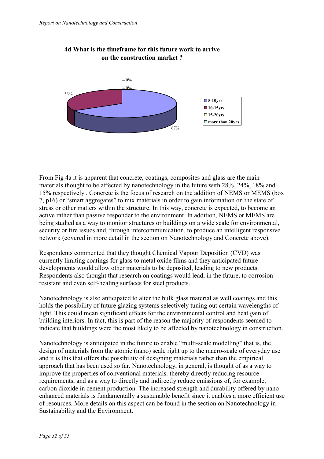

#### **4d What is the timeframe for this future work to arrive on the construction market ?**

From Fig 4a it is apparent that concrete, coatings, composites and glass are the main materials thought to be affected by nanotechnology in the future with 28%, 24%, 18% and 15% respectively . Concrete is the focus of research on the addition of NEMS or MEMS (box 7, p16) or "smart aggregates" to mix materials in order to gain information on the state of stress or other matters within the structure. In this way, concrete is expected, to become an active rather than passive responder to the environment. In addition, NEMS or MEMS are being studied as a way to monitor structures or buildings on a wide scale for environmental, security or fire issues and, through intercommunication, to produce an intelligent responsive network (covered in more detail in the section on Nanotechnology and Concrete above).

Respondents commented that they thought Chemical Vapour Deposition (CVD) was currently limiting coatings for glass to metal oxide films and they anticipated future developments would allow other materials to be deposited, leading to new products. Respondents also thought that research on coatings would lead, in the future, to corrosion resistant and even self-healing surfaces for steel products.

Nanotechnology is also anticipated to alter the bulk glass material as well coatings and this holds the possibility of future glazing systems selectively tuning out certain wavelengths of light. This could mean significant effects for the environmental control and heat gain of building interiors. In fact, this is part of the reason the majority of respondents seemed to indicate that buildings were the most likely to be affected by nanotechnology in construction.

Nanotechnology is anticipated in the future to enable "multi-scale modelling" that is, the design of materials from the atomic (nano) scale right up to the macro-scale of everyday use and it is this that offers the possibility of designing materials rather than the empirical approach that has been used so far. Nanotechnology, in general, is thought of as a way to improve the properties of conventional materials. thereby directly reducing resource requirements, and as a way to directly and indirectly reduce emissions of, for example, carbon dioxide in cement production. The increased strength and durability offered by nano enhanced materials is fundamentally a sustainable benefit since it enables a more efficient use of resources. More details on this aspect can be found in the section on Nanotechnology in Sustainability and the Environment.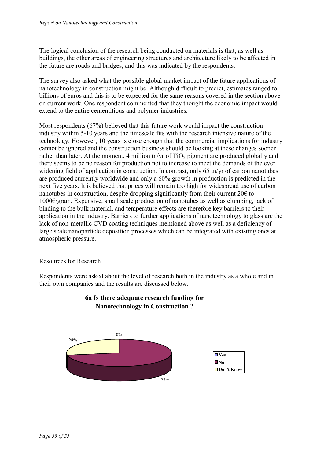The logical conclusion of the research being conducted on materials is that, as well as buildings, the other areas of engineering structures and architecture likely to be affected in the future are roads and bridges, and this was indicated by the respondents.

The survey also asked what the possible global market impact of the future applications of nanotechnology in construction might be. Although difficult to predict, estimates ranged to billions of euros and this is to be expected for the same reasons covered in the section above on current work. One respondent commented that they thought the economic impact would extend to the entire cementitious and polymer industries.

Most respondents (67%) believed that this future work would impact the construction industry within 5-10 years and the timescale fits with the research intensive nature of the technology. However, 10 years is close enough that the commercial implications for industry cannot be ignored and the construction business should be looking at these changes sooner rather than later. At the moment, 4 million tn/yr of  $TiO<sub>2</sub>$  pigment are produced globally and there seems to be no reason for production not to increase to meet the demands of the ever widening field of application in construction. In contrast, only 65 tn/yr of carbon nanotubes are produced currently worldwide and only a 60% growth in production is predicted in the next five years. It is believed that prices will remain too high for widespread use of carbon nanotubes in construction, despite dropping significantly from their current  $20 \epsilon$  to 1000€/gram. Expensive, small scale production of nanotubes as well as clumping, lack of binding to the bulk material, and temperature effects are therefore key barriers to their application in the industry. Barriers to further applications of nanotechnology to glass are the lack of non-metallic CVD coating techniques mentioned above as well as a deficiency of large scale nanoparticle deposition processes which can be integrated with existing ones at atmospheric pressure.

#### Resources for Research

Respondents were asked about the level of research both in the industry as a whole and in their own companies and the results are discussed below.



## **6a Is there adequate research funding for Nanotechnology in Construction ?**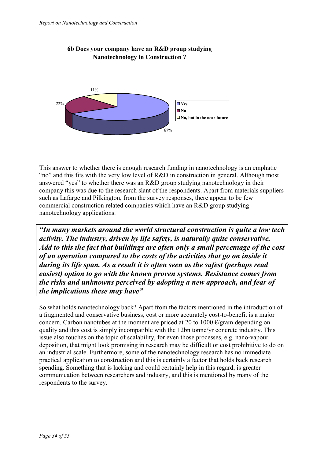

#### **6b Does your company have an R&D group studying Nanotechnology in Construction ?**

This answer to whether there is enough research funding in nanotechnology is an emphatic "no" and this fits with the very low level of R&D in construction in general. Although most answered "yes" to whether there was an R&D group studying nanotechnology in their company this was due to the research slant of the respondents. Apart from materials suppliers such as Lafarge and Pilkington, from the survey responses, there appear to be few commercial construction related companies which have an R&D group studying nanotechnology applications.

*"In many markets around the world structural construction is quite a low tech activity. The industry, driven by life safety, is naturally quite conservative. Add to this the fact that buildings are often only a small percentage of the cost of an operation compared to the costs of the activities that go on inside it during its life span. As a result it is often seen as the safest (perhaps read easiest) option to go with the known proven systems. Resistance comes from the risks and unknowns perceived by adopting a new approach, and fear of the implications these may have"* 

So what holds nanotechnology back? Apart from the factors mentioned in the introduction of a fragmented and conservative business, cost or more accurately cost-to-benefit is a major concern. Carbon nanotubes at the moment are priced at 20 to 1000  $\epsilon$ /gram depending on quality and this cost is simply incompatible with the 12bn tonne/yr concrete industry. This issue also touches on the topic of scalability, for even those processes, e.g. nano-vapour deposition, that might look promising in research may be difficult or cost prohibitive to do on an industrial scale. Furthermore, some of the nanotechnology research has no immediate practical application to construction and this is certainly a factor that holds back research spending. Something that is lacking and could certainly help in this regard, is greater communication between researchers and industry, and this is mentioned by many of the respondents to the survey.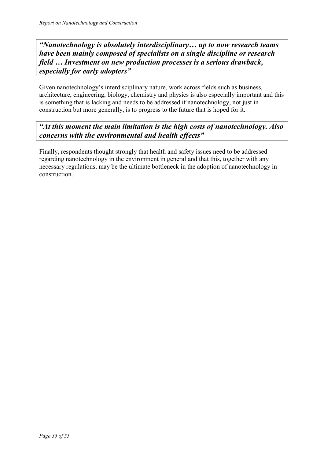*"Nanotechnology is absolutely interdisciplinary… up to now research teams have been mainly composed of specialists on a single discipline or research field … Investment on new production processes is a serious drawback, especially for early adopters"*

Given nanotechnology's interdisciplinary nature, work across fields such as business, architecture, engineering, biology, chemistry and physics is also especially important and this is something that is lacking and needs to be addressed if nanotechnology, not just in construction but more generally, is to progress to the future that is hoped for it.

## *"At this moment the main limitation is the high costs of nanotechnology. Also concerns with the environmental and health effects"*

Finally, respondents thought strongly that health and safety issues need to be addressed regarding nanotechnology in the environment in general and that this, together with any necessary regulations, may be the ultimate bottleneck in the adoption of nanotechnology in construction.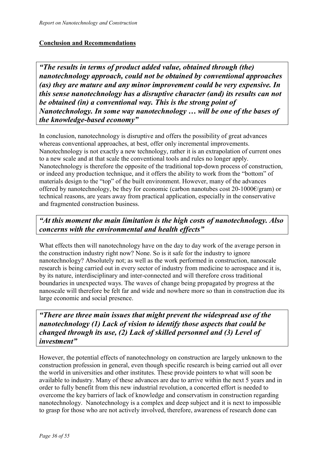#### **Conclusion and Recommendations**

*"The results in terms of product added value, obtained through (the) nanotechnology approach, could not be obtained by conventional approaches (as) they are mature and any minor improvement could be very expensive. In this sense nanotechnology has a disruptive character (and) its results can not be obtained (in) a conventional way. This is the strong point of Nanotechnology. In some way nanotechnology … will be one of the bases of the knowledge-based economy"* 

In conclusion, nanotechnology is disruptive and offers the possibility of great advances whereas conventional approaches, at best, offer only incremental improvements. Nanotechnology is not exactly a new technology, rather it is an extrapolation of current ones to a new scale and at that scale the conventional tools and rules no longer apply. Nanotechnology is therefore the opposite of the traditional top-down process of construction, or indeed any production technique, and it offers the ability to work from the "bottom" of materials design to the "top" of the built environment. However, many of the advances offered by nanotechnology, be they for economic (carbon nanotubes cost 20-1000€/gram) or technical reasons, are years away from practical application, especially in the conservative and fragmented construction business.

## *"At this moment the main limitation is the high costs of nanotechnology. Also concerns with the environmental and health effects"*

What effects then will nanotechnology have on the day to day work of the average person in the construction industry right now? None. So is it safe for the industry to ignore nanotechnology? Absolutely not; as well as the work performed in construction, nanoscale research is being carried out in every sector of industry from medicine to aerospace and it is, by its nature, interdisciplinary and inter-connected and will therefore cross traditional boundaries in unexpected ways. The waves of change being propagated by progress at the nanoscale will therefore be felt far and wide and nowhere more so than in construction due its large economic and social presence.

*"There are three main issues that might prevent the widespread use of the nanotechnology (1) Lack of vision to identify those aspects that could be changed through its use, (2) Lack of skilled personnel and (3) Level of investment"* 

However, the potential effects of nanotechnology on construction are largely unknown to the construction profession in general, even though specific research is being carried out all over the world in universities and other institutes. These provide pointers to what will soon be available to industry. Many of these advances are due to arrive within the next 5 years and in order to fully benefit from this new industrial revolution, a concerted effort is needed to overcome the key barriers of lack of knowledge and conservatism in construction regarding nanotechnology. Nanotechnology is a complex and deep subject and it is next to impossible to grasp for those who are not actively involved, therefore, awareness of research done can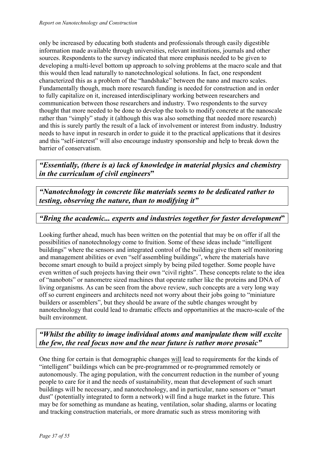only be increased by educating both students and professionals through easily digestible information made available through universities, relevant institutions, journals and other sources. Respondents to the survey indicated that more emphasis needed to be given to developing a multi-level bottom up approach to solving problems at the macro scale and that this would then lead naturally to nanotechnological solutions. In fact, one respondent characterized this as a problem of the "handshake" between the nano and macro scales. Fundamentally though, much more research funding is needed for construction and in order to fully capitalize on it, increased interdisciplinary working between researchers and communication between those researchers and industry. Two respondents to the survey thought that more needed to be done to develop the tools to modify concrete at the nanoscale rather than "simply" study it (although this was also something that needed more research) and this is surely partly the result of a lack of involvement or interest from industry. Industry needs to have input in research in order to guide it to the practical applications that it desires and this "self-interest" will also encourage industry sponsorship and help to break down the barrier of conservatism.

*"Essentially, (there is a) lack of knowledge in material physics and chemistry in the curriculum of civil engineers***"**

*"Nanotechnology in concrete like materials seems to be dedicated rather to testing, observing the nature, than to modifying it"* 

## *"Bring the academic... experts and industries together for faster development***"**

Looking further ahead, much has been written on the potential that may be on offer if all the possibilities of nanotechnology come to fruition. Some of these ideas include "intelligent buildings" where the sensors and integrated control of the building give them self monitoring and management abilities or even "self assembling buildings", where the materials have become smart enough to build a project simply by being piled together. Some people have even written of such projects having their own "civil rights". These concepts relate to the idea of "nanobots" or nanometre sized machines that operate rather like the proteins and DNA of living organisms. As can be seen from the above review, such concepts are a very long way off so current engineers and architects need not worry about their jobs going to "miniature builders or assemblers", but they should be aware of the subtle changes wrought by nanotechnology that could lead to dramatic effects and opportunities at the macro-scale of the built environment.

## *"Whilst the ability to image individual atoms and manipulate them will excite the few, the real focus now and the near future is rather more prosaic"*

One thing for certain is that demographic changes will lead to requirements for the kinds of "intelligent" buildings which can be pre-programmed or re-programmed remotely or autonomously. The aging population, with the concurrent reduction in the number of young people to care for it and the needs of sustainability, mean that development of such smart buildings will be necessary, and nanotechnology, and in particular, nano sensors or "smart dust" (potentially integrated to form a network) will find a huge market in the future. This may be for something as mundane as heating, ventilation, solar shading, alarms or locating and tracking construction materials, or more dramatic such as stress monitoring with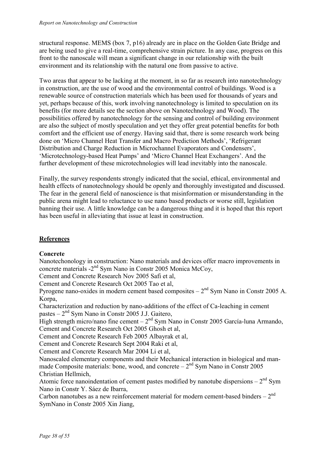structural response. MEMS (box 7, p16) already are in place on the Golden Gate Bridge and are being used to give a real-time, comprehensive strain picture. In any case, progress on this front to the nanoscale will mean a significant change in our relationship with the built environment and its relationship with the natural one from passive to active.

Two areas that appear to be lacking at the moment, in so far as research into nanotechnology in construction, are the use of wood and the environmental control of buildings. Wood is a renewable source of construction materials which has been used for thousands of years and yet, perhaps because of this, work involving nanotechnology is limited to speculation on its benefits (for more details see the section above on Nanotechnology and Wood). The possibilities offered by nanotechnology for the sensing and control of building environment are also the subject of mostly speculation and yet they offer great potential benefits for both comfort and the efficient use of energy. Having said that, there is some research work being done on 'Micro Channel Heat Transfer and Macro Prediction Methods', 'Refrigerant Distribution and Charge Reduction in Microchannel Evaporators and Condensers', 'Microtechnology-based Heat Pumps' and 'Micro Channel Heat Exchangers'. And the further development of these microtechnologies will lead inevitably into the nanoscale.

Finally, the survey respondents strongly indicated that the social, ethical, environmental and health effects of nanotechnology should be openly and thoroughly investigated and discussed. The fear in the general field of nanoscience is that misinformation or misunderstanding in the public arena might lead to reluctance to use nano based products or worse still, legislation banning their use. A little knowledge can be a dangerous thing and it is hoped that this report has been useful in alleviating that issue at least in construction.

## **References**

#### **Concrete**

Nanotechonology in construction: Nano materials and devices offer macro improvements in concrete materials -2nd Sym Nano in Constr 2005 Monica McCoy,

Cement and Concrete Research Nov 2005 Safi et al,

Cement and Concrete Research Oct 2005 Tao et al,

Pyrogene nano-oxides in modern cement based composites  $-2<sup>nd</sup>$  Sym Nano in Constr 2005 A. Korpa,

Characterization and reduction by nano-additions of the effect of Ca-leaching in cement pastes  $-2<sup>nd</sup>$  Sym Nano in Constr 2005 J.J. Gaitero,

High strength micro/nano fine cement –  $2<sup>nd</sup>$  Sym Nano in Constr 2005 García-luna Armando, Cement and Concrete Research Oct 2005 Ghosh et al,

Cement and Concrete Research Feb 2005 Albayrak et al,

Cement and Concrete Research Sept 2004 Raki et al,

Cement and Concrete Research Mar 2004 Li et al,

Nanoscaled elementary components and their Mechanical interaction in biological and manmade Composite materials: bone, wood, and concrete  $-2<sup>nd</sup>$  Sym Nano in Constr 2005 Christian Hellmich,

Atomic force nanoindentation of cement pastes modified by nanotube dispersions  $-2<sup>nd</sup>$  Sym Nano in Constr Y. Sáez de Ibarra,

Carbon nanotubes as a new reinforcement material for modern cement-based binders  $-2<sup>nd</sup>$ SymNano in Constr 2005 Xin Jiang,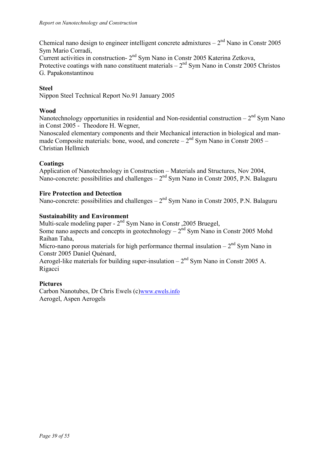Chemical nano design to engineer intelligent concrete admixtures –  $2<sup>nd</sup>$  Nano in Constr 2005 Sym Mario Corradi,

Current activities in construction- 2nd Sym Nano in Constr 2005 Katerina Zetkova, Protective coatings with nano constituent materials  $-2<sup>nd</sup>$  Sym Nano in Constr 2005 Christos G. Papakonstantinou

#### **Steel**

Nippon Steel Technical Report No.91 January 2005

#### **Wood**

Nanotechnology opportunities in residential and Non-residential construction –  $2<sup>nd</sup>$  Sym Nano in Const 2005 - Theodore H. Wegner,

Nanoscaled elementary components and their Mechanical interaction in biological and manmade Composite materials: bone, wood, and concrete  $-2<sup>nd</sup>$  Sym Nano in Constr 2005 – Christian Hellmich

#### **Coatings**

Application of Nanotechnology in Construction – Materials and Structures, Nov 2004, Nano-concrete: possibilities and challenges  $-2<sup>nd</sup>$  Sym Nano in Constr 2005, P.N. Balaguru

#### **Fire Protection and Detection**

Nano-concrete: possibilities and challenges  $-2<sup>nd</sup>$  Sym Nano in Constr 2005, P.N. Balaguru

#### **Sustainability and Environment**

Multi-scale modeling paper - 2<sup>nd</sup> Sym Nano in Constr , 2005 Bruegel,

Some nano aspects and concepts in geotechnology –  $2<sup>nd</sup>$  Sym Nano in Constr 2005 Mohd Raihan Taha,

Micro-nano porous materials for high performance thermal insulation –  $2<sup>nd</sup>$  Sym Nano in Constr 2005 Daniel Quénard,

Aerogel-like materials for building super-insulation –  $2<sup>nd</sup>$  Sym Nano in Constr 2005 A. Rigacci

#### **Pictures**

Carbon Nanotubes, Dr Chris Ewels (c)www.ewels.info Aerogel, Aspen Aerogels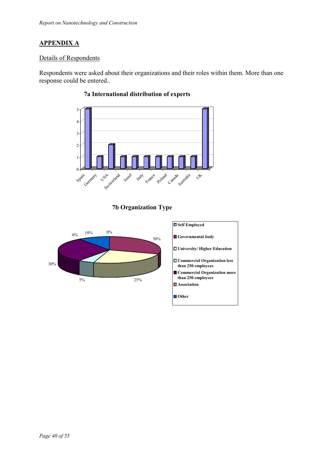## **APPENDIX A**

#### Details of Respondents

Respondents were asked about their organizations and their roles within them. More than one response could be entered..



## **7a International distribution of experts**

#### **7b Organization Type**

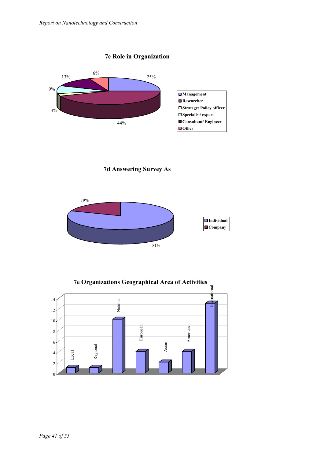#### **7c Role in Organization**



**7d Answering Survey As**



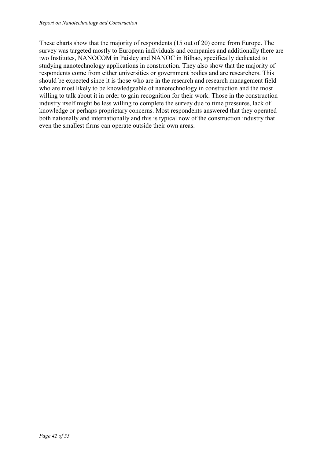These charts show that the majority of respondents (15 out of 20) come from Europe. The survey was targeted mostly to European individuals and companies and additionally there are two Institutes, NANOCOM in Paisley and NANOC in Bilbao, specifically dedicated to studying nanotechnology applications in construction. They also show that the majority of respondents come from either universities or government bodies and are researchers. This should be expected since it is those who are in the research and research management field who are most likely to be knowledgeable of nanotechnology in construction and the most willing to talk about it in order to gain recognition for their work. Those in the construction industry itself might be less willing to complete the survey due to time pressures, lack of knowledge or perhaps proprietary concerns. Most respondents answered that they operated both nationally and internationally and this is typical now of the construction industry that even the smallest firms can operate outside their own areas.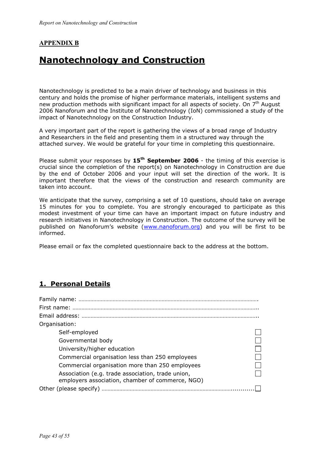## **APPENDIX B**

## **Nanotechnology and Construction**

Nanotechnology is predicted to be a main driver of technology and business in this century and holds the promise of higher performance materials, intelligent systems and new production methods with significant impact for all aspects of society. On  $7<sup>th</sup>$  August 2006 Nanoforum and the Institute of Nanotechnology (IoN) commissioned a study of the impact of Nanotechnology on the Construction Industry.

A very important part of the report is gathering the views of a broad range of Industry and Researchers in the field and presenting them in a structured way through the attached survey. We would be grateful for your time in completing this questionnaire.

Please submit your responses by 15<sup>th</sup> September 2006 - the timing of this exercise is crucial since the completion of the report(s) on Nanotechnology in Construction are due by the end of October 2006 and your input will set the direction of the work. It is important therefore that the views of the construction and research community are taken into account.

We anticipate that the survey, comprising a set of 10 questions, should take on average 15 minutes for you to complete. You are strongly encouraged to participate as this modest investment of your time can have an important impact on future industry and research initiatives in Nanotechnology in Construction. The outcome of the survey will be published on Nanoforum's website (www.nanoforum.org) and you will be first to be informed.

Please email or fax the completed questionnaire back to the address at the bottom.

## **1. Personal Details**

| Organisation:                                                                                         |  |
|-------------------------------------------------------------------------------------------------------|--|
| Self-employed                                                                                         |  |
| Governmental body                                                                                     |  |
| University/higher education                                                                           |  |
| Commercial organisation less than 250 employees                                                       |  |
| Commercial organisation more than 250 employees                                                       |  |
| Association (e.g. trade association, trade union,<br>employers association, chamber of commerce, NGO) |  |
| Other (please specify)                                                                                |  |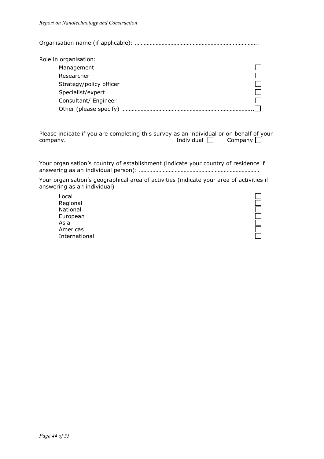Organisation name (if applicable): ………………………………………………………………………..

| Role in organisation:   |  |
|-------------------------|--|
| Management              |  |
| Researcher              |  |
| Strategy/policy officer |  |
| Specialist/expert       |  |
| Consultant/ Engineer    |  |
| Other (please specify)  |  |

Please indicate if you are completing this survey as an individual or on behalf of your company. The company company company company  $\Box$ 

Your organisation's country of establishment (indicate your country of residence if answering as an individual person): ………………………………………………………………………

Your organisation's geographical area of activities (indicate your area of activities if answering as an individual)

Local Regional National European Asia Americas International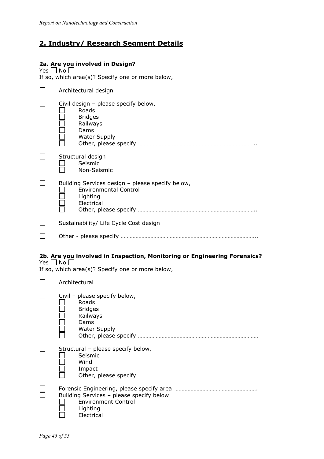## **2. Industry/ Research Segment Details**

#### **2a. Are you involved in Design?**

Yes  $\bigsqcup$  No If so, which area(s)? Specify one or more below,

| Architectural design                                                                                                                                 |
|------------------------------------------------------------------------------------------------------------------------------------------------------|
| Civil design - please specify below,<br>Roads<br><b>Bridges</b><br>Railways<br>Dams<br><b>Water Supply</b>                                           |
| Structural design<br>Seismic<br>Non-Seismic                                                                                                          |
| Building Services design - please specify below,<br><b>Environmental Control</b><br>Lighting<br>Electrical                                           |
| Sustainability/ Life Cycle Cost design                                                                                                               |
|                                                                                                                                                      |
|                                                                                                                                                      |
| 2b. Are you involved in Inspection, Monitoring or Engineering Forensics?<br>Yes $\Box$ No $\Box$<br>If so, which area(s)? Specify one or more below, |
| Architectural                                                                                                                                        |
| Civil - please specify below,<br>Roads<br><b>Bridges</b><br>Railways<br>Dams<br><b>Water Supply</b>                                                  |
| Structural - please specify below,<br>Seismic<br>Wind<br>Impact                                                                                      |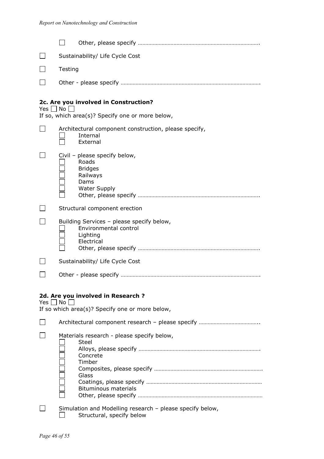|                      |                      | Sustainability/ Life Cycle Cost                                                                                          |
|----------------------|----------------------|--------------------------------------------------------------------------------------------------------------------------|
|                      | Testing              |                                                                                                                          |
|                      |                      |                                                                                                                          |
|                      |                      |                                                                                                                          |
| Yes $\Box$ No $\Box$ |                      | 2c. Are you involved in Construction?                                                                                    |
|                      |                      | If so, which area(s)? Specify one or more below,                                                                         |
|                      |                      | Architectural component construction, please specify,<br>Internal<br>External                                            |
|                      |                      | Civil - please specify below,<br>Roads<br><b>Bridges</b><br>Railways<br>Dams<br><b>Water Supply</b>                      |
|                      |                      | Structural component erection                                                                                            |
|                      |                      | Building Services - please specify below,<br>Environmental control<br>Lighting<br>Electrical                             |
|                      |                      | Sustainability/ Life Cycle Cost                                                                                          |
|                      |                      |                                                                                                                          |
|                      |                      |                                                                                                                          |
|                      | Yes $\Box$ No $\Box$ | 2d. Are you involved in Research?<br>If so which area(s)? Specify one or more below,                                     |
|                      |                      |                                                                                                                          |
|                      |                      | Materials research - please specify below,<br><b>Steel</b><br>Concrete<br>Timber<br>Glass<br><b>Bituminous materials</b> |
|                      |                      | Simulation and Modelling research - please specify below,<br>Structural, specify below                                   |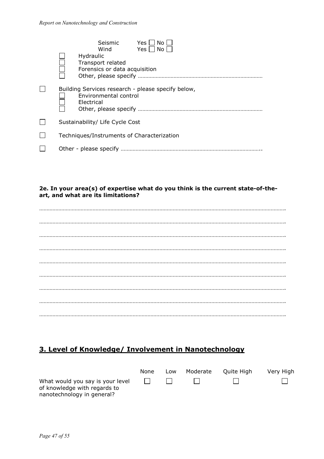|  | Seismic<br>Yes<br>No.<br>Yes     No  <br>Wind<br>Hydraulic<br>Transport related<br>Forensics or data acquisition |
|--|------------------------------------------------------------------------------------------------------------------|
|  | Building Services research - please specify below,<br>Environmental control<br>Electrical                        |
|  | Sustainability/ Life Cycle Cost                                                                                  |
|  | Techniques/Instruments of Characterization                                                                       |
|  |                                                                                                                  |

#### **2e. In your area(s) of expertise what do you think is the current state-of-theart, and what are its limitations?**

## **3. Level of Knowledge/ Involvement in Nanotechnology**

|                                                                                                | None | Low | Moderate | Ouite High | Very High |
|------------------------------------------------------------------------------------------------|------|-----|----------|------------|-----------|
| What would you say is your level<br>of knowledge with regards to<br>nanotechnology in general? |      |     |          |            |           |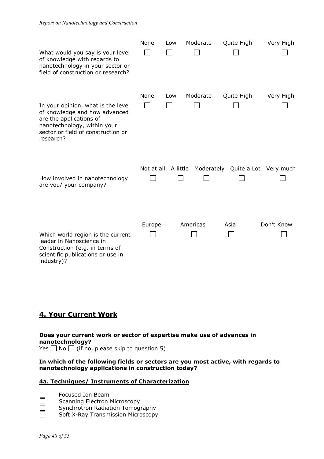| What would you say is your level<br>of knowledge with regards to<br>nanotechnology in your sector or<br>field of construction or research?                                       | None       | Low | Moderate | Quite High                                | Very High  |
|----------------------------------------------------------------------------------------------------------------------------------------------------------------------------------|------------|-----|----------|-------------------------------------------|------------|
| In your opinion, what is the level<br>of knowledge and how advanced<br>are the applications of<br>nanotechnology, within your<br>sector or field of construction or<br>research? | None       | Low | Moderate | Quite High                                | Very High  |
| How involved in nanotechnology<br>are you/ your company?                                                                                                                         | Not at all |     |          | A little Moderately Quite a Lot Very much |            |
| Which world region is the current<br>leader in Nanoscience in<br>Construction (e.g. in terms of<br>scientific publications or use in<br>industry)?                               | Europe     |     | Americas | Asia                                      | Don't Know |

## **4. Your Current Work**

**Does your current work or sector of expertise make use of advances in nanotechnology?**  Yes  $\Box$  No  $\Box$  (if no, please skip to question 5)

#### **In which of the following fields or sectors are you most active, with regards to nanotechnology applications in construction today?**

#### **4a. Techniques/ Instruments of Characterization**

 Focused Ion Beam Scanning Electron Microscopy Synchrotron Radiation Tomography Soft X-Ray Transmission Microscopy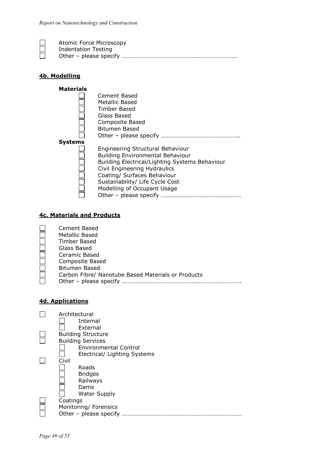| Atomic Force Microscopy    |
|----------------------------|
| <b>Indentation Testing</b> |
|                            |

### **4b. Modelling**

| <b>Materials</b> |                                                |
|------------------|------------------------------------------------|
|                  | Cement Based                                   |
|                  | Metallic Based                                 |
|                  | Timber Based                                   |
|                  | Glass Based                                    |
|                  | <b>Composite Based</b>                         |
|                  | <b>Bitumen Based</b>                           |
|                  |                                                |
| <b>Systems</b>   |                                                |
|                  | Engineering Structural Behaviour               |
|                  | <b>Building Environmental Behaviour</b>        |
|                  | Building Electrical/Lighting Systems Behaviour |
|                  | Civil Engineering Hydraulics                   |
|                  | Coating/ Surfaces Behaviour                    |
|                  | Sustainability/ Life Cycle Cost                |
|                  | Modelling of Occupant Usage                    |
|                  |                                                |

#### **4c. Materials and Products**

| Cement Based                                       |
|----------------------------------------------------|
| Metallic Based                                     |
| Timber Based                                       |
| Glass Based                                        |
| Ceramic Based                                      |
| <b>Composite Based</b>                             |
| <b>Bitumen Based</b>                               |
| Carbon Fibre/ Nanotube Based Materials or Products |
| Other - please specify                             |
|                                                    |

#### **4d. Applications**

| Architectural                |
|------------------------------|
| Internal                     |
| External                     |
| <b>Building Structure</b>    |
| <b>Building Services</b>     |
| <b>Environmental Control</b> |
| Electrical/ Lighting Systems |
| Civil                        |
| Roads                        |
| <b>Bridges</b>               |
| Railways                     |
| Dams                         |
| <b>Water Supply</b>          |
| Coatings                     |
|                              |
| Monitoring/ Forensics        |
| Other - please specify       |
|                              |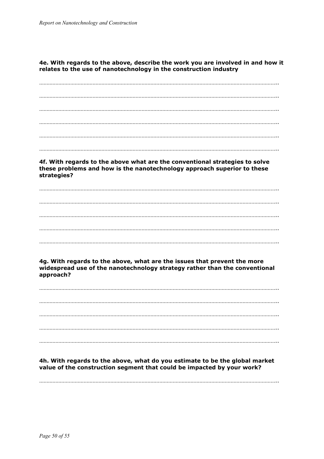#### **4e. With regards to the above, describe the work you are involved in and how it relates to the use of nanotechnology in the construction industry**

…………………………………………………………………………………………………………………………………………….. …………………………………………………………………………………………………………………………………………….. …………………………………………………………………………………………………………………………………………….. …………………………………………………………………………………………………………………………………………….. …………………………………………………………………………………………………………………………………………….. ……………………………………………………………………………………………………………………………………………..

**4f. With regards to the above what are the conventional strategies to solve these problems and how is the nanotechnology approach superior to these strategies?** 

## …………………………………………………………………………………………………………………………………………….. …………………………………………………………………………………………………………………………………………….. …………………………………………………………………………………………………………………………………………….. …………………………………………………………………………………………………………………………………………….. ……………………………………………………………………………………………………………………………………………..

**4g. With regards to the above, what are the issues that prevent the more widespread use of the nanotechnology strategy rather than the conventional approach?** 

…………………………………………………………………………………………………………………………………………….. …………………………………………………………………………………………………………………………………………….. …………………………………………………………………………………………………………………………………………….. …………………………………………………………………………………………………………………………………………….. ……………………………………………………………………………………………………………………………………………..

**4h. With regards to the above, what do you estimate to be the global market value of the construction segment that could be impacted by your work?** 

……………………………………………………………………………………………………………………………………………..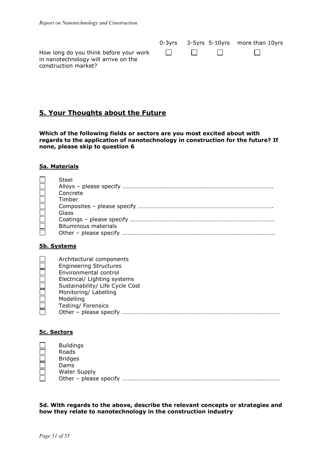|                                                                                                               |  | 0-3yrs 3-5yrs 5-10yrs more than 10yrs |  |
|---------------------------------------------------------------------------------------------------------------|--|---------------------------------------|--|
| How long do you think before your work $\Box$<br>in nanotechnology will arrive on the<br>construction market? |  |                                       |  |

## **5. Your Thoughts about the Future**

**Which of the following fields or sectors are you most excited about with regards to the application of nanotechnology in construction for the future? If none, please skip to question 6** 

#### **5a. Materials**

| Steel                       |
|-----------------------------|
|                             |
| Concrete                    |
| Timber                      |
|                             |
| Glass                       |
|                             |
| <b>Bituminous materials</b> |
|                             |

#### **5b. Systems**

| Architectural components        |
|---------------------------------|
| <b>Engineering Structures</b>   |
| Environmental control           |
| Electrical/ Lighting systems    |
| Sustainability/ Life Cycle Cost |
| Monitoring/ Labelling           |
| Modelling                       |
| Testing/Forensics               |
| Other - please specify          |

#### **5c. Sectors**

| <b>Buildings</b>       |
|------------------------|
| Roads                  |
| <b>Bridges</b>         |
| Dams                   |
| Water Supply           |
| Other - please specify |

**5d. With regards to the above, describe the relevant concepts or strategies and how they relate to nanotechnology in the construction industry**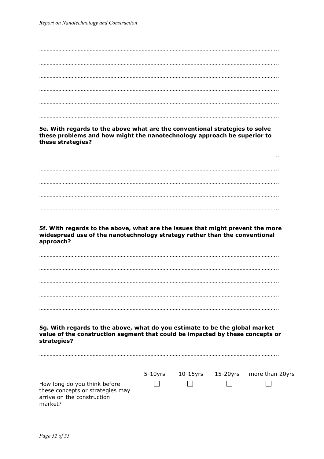| 5e. With regards to the above what are the conventional strategies to solve<br>these problems and how might the nanotechnology approach be superior to<br>these strategies? |  |                                           |
|-----------------------------------------------------------------------------------------------------------------------------------------------------------------------------|--|-------------------------------------------|
|                                                                                                                                                                             |  |                                           |
|                                                                                                                                                                             |  |                                           |
|                                                                                                                                                                             |  |                                           |
|                                                                                                                                                                             |  |                                           |
|                                                                                                                                                                             |  |                                           |
|                                                                                                                                                                             |  |                                           |
| 5f. With regards to the above, what are the issues that might prevent the more<br>widespread use of the nanotechnology strategy rather than the conventional<br>approach?   |  |                                           |
|                                                                                                                                                                             |  |                                           |
|                                                                                                                                                                             |  |                                           |
|                                                                                                                                                                             |  |                                           |
|                                                                                                                                                                             |  |                                           |
|                                                                                                                                                                             |  |                                           |
|                                                                                                                                                                             |  |                                           |
| 5g. With regards to the above, what do you estimate to be the global market<br>value of the construction segment that could be impacted by these concepts or<br>strategies? |  |                                           |
|                                                                                                                                                                             |  | 5-10yrs 10-15yrs 15-20yrs more than 20yrs |
| How long do you think before<br>these concepts or strategies may<br>arrive on the construction<br>market?                                                                   |  |                                           |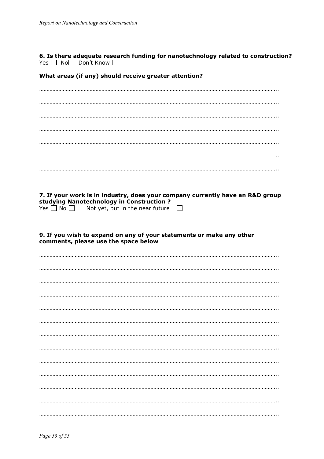**6. Is there adequate research funding for nanotechnology related to construction?**<br>Yes  $\Box$  No $\Box$  Don't Know  $\Box$ 

What areas (if any) should receive greater attention?

| 7. If your work is in industry, does your company currently have an R&D group<br>studying Nanotechnology in Construction? |
|---------------------------------------------------------------------------------------------------------------------------|
| Yes $\Box$ No $\Box$ Not yet, but in the near future<br>$\mathbb{R}^n$                                                    |
|                                                                                                                           |
| 9. If you wish to expand on any of your statements or make any other<br>comments, please use the space below              |
|                                                                                                                           |
|                                                                                                                           |
|                                                                                                                           |
|                                                                                                                           |
|                                                                                                                           |
|                                                                                                                           |
|                                                                                                                           |
|                                                                                                                           |
|                                                                                                                           |
|                                                                                                                           |
|                                                                                                                           |
|                                                                                                                           |
|                                                                                                                           |
|                                                                                                                           |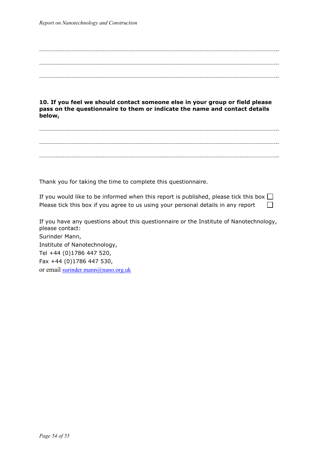**below,** 

…………………………………………………………………………………………………………………………………………….. ……………………………………………………………………………………………………………………………………………..

……………………………………………………………………………………………………………………………………………..

**10. If you feel we should contact someone else in your group or field please pass on the questionnaire to them or indicate the name and contact details** 

…………………………………………………………………………………………………………………………………………….. …………………………………………………………………………………………………………………………………………….. ……………………………………………………………………………………………………………………………………………..

Thank you for taking the time to complete this questionnaire.

If you would like to be informed when this report is published, please tick this box  $\Box$ Please tick this box if you agree to us using your personal details in any report  $\Box$ 

If you have any questions about this questionnaire or the Institute of Nanotechnology, please contact: Surinder Mann, Institute of Nanotechnology, Tel +44 (0)1786 447 520, Fax +44 (0)1786 447 530, or email surinder.mann@nano.org.uk